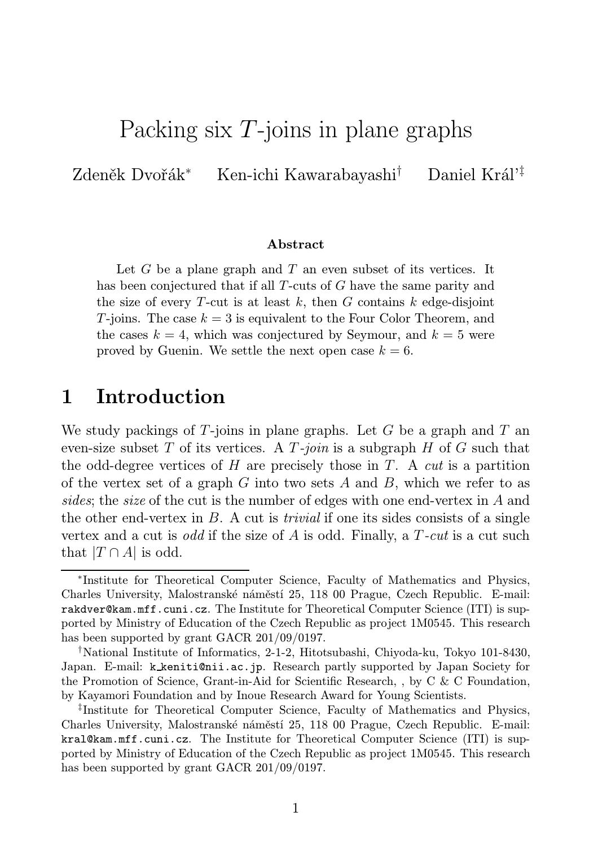# Packing six T-joins in plane graphs

Zdeněk Dvořák<sup>∗</sup> Ken-ichi Kawarabayashi† Daniel Král'‡

#### Abstract

Let  $G$  be a plane graph and  $T$  an even subset of its vertices. It has been conjectured that if all T-cuts of G have the same parity and the size of every T-cut is at least k, then G contains k edge-disjoint T-joins. The case  $k = 3$  is equivalent to the Four Color Theorem, and the cases  $k = 4$ , which was conjectured by Seymour, and  $k = 5$  were proved by Guenin. We settle the next open case  $k = 6$ .

## 1 Introduction

We study packings of  $T$ -joins in plane graphs. Let  $G$  be a graph and  $T$  an even-size subset T of its vertices. A  $T$ -join is a subgraph H of G such that the odd-degree vertices of H are precisely those in T. A *cut* is a partition of the vertex set of a graph G into two sets A and B, which we refer to as sides; the size of the cut is the number of edges with one end-vertex in A and the other end-vertex in  $B$ . A cut is *trivial* if one its sides consists of a single vertex and a cut is *odd* if the size of A is odd. Finally, a  $T$ -cut is a cut such that  $|T \cap A|$  is odd.

<sup>∗</sup> Institute for Theoretical Computer Science, Faculty of Mathematics and Physics, Charles University, Malostranské náměstí 25, 118 00 Prague, Czech Republic. E-mail: rakdver@kam.mff.cuni.cz. The Institute for Theoretical Computer Science (ITI) is supported by Ministry of Education of the Czech Republic as project 1M0545. This research has been supported by grant GACR 201/09/0197.

<sup>†</sup>National Institute of Informatics, 2-1-2, Hitotsubashi, Chiyoda-ku, Tokyo 101-8430, Japan. E-mail: k keniti@nii.ac.jp. Research partly supported by Japan Society for the Promotion of Science, Grant-in-Aid for Scientific Research, , by C & C Foundation, by Kayamori Foundation and by Inoue Research Award for Young Scientists.

<sup>‡</sup> Institute for Theoretical Computer Science, Faculty of Mathematics and Physics, Charles University, Malostranské náměstí 25, 118 00 Prague, Czech Republic. E-mail: kral@kam.mff.cuni.cz. The Institute for Theoretical Computer Science (ITI) is supported by Ministry of Education of the Czech Republic as project 1M0545. This research has been supported by grant GACR 201/09/0197.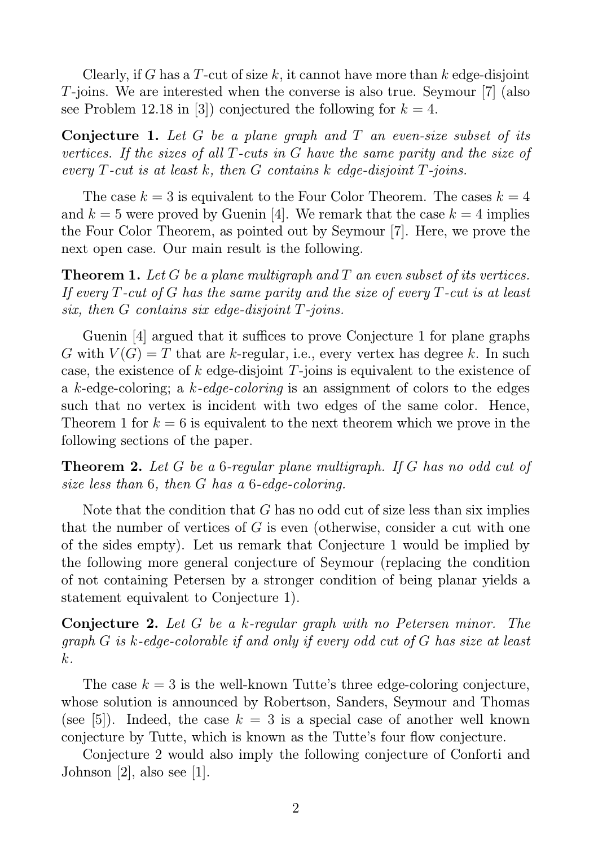Clearly, if G has a T-cut of size k, it cannot have more than  $k$  edge-disjoint T-joins. We are interested when the converse is also true. Seymour [7] (also see Problem 12.18 in [3]) conjectured the following for  $k = 4$ .

**Conjecture 1.** Let G be a plane graph and T an even-size subset of its vertices. If the sizes of all T-cuts in G have the same parity and the size of every  $T$ -cut is at least k, then  $G$  contains k edge-disjoint  $T$ -joins.

The case  $k = 3$  is equivalent to the Four Color Theorem. The cases  $k = 4$ and  $k = 5$  were proved by Guenin [4]. We remark that the case  $k = 4$  implies the Four Color Theorem, as pointed out by Seymour [7]. Here, we prove the next open case. Our main result is the following.

**Theorem 1.** Let G be a plane multigraph and T an even subset of its vertices. If every  $T$ -cut of  $G$  has the same parity and the size of every  $T$ -cut is at least six, then  $G$  contains six edge-disjoint  $T$ -joins.

Guenin [4] argued that it suffices to prove Conjecture 1 for plane graphs G with  $V(G) = T$  that are k-regular, i.e., every vertex has degree k. In such case, the existence of k edge-disjoint  $T$ -joins is equivalent to the existence of a k-edge-coloring; a k-edge-coloring is an assignment of colors to the edges such that no vertex is incident with two edges of the same color. Hence, Theorem 1 for  $k = 6$  is equivalent to the next theorem which we prove in the following sections of the paper.

Theorem 2. Let G be a 6-regular plane multigraph. If G has no odd cut of size less than 6, then G has a 6-edge-coloring.

Note that the condition that  $G$  has no odd cut of size less than six implies that the number of vertices of  $G$  is even (otherwise, consider a cut with one of the sides empty). Let us remark that Conjecture 1 would be implied by the following more general conjecture of Seymour (replacing the condition of not containing Petersen by a stronger condition of being planar yields a statement equivalent to Conjecture 1).

Conjecture 2. Let G be a k-regular graph with no Petersen minor. The graph G is k-edge-colorable if and only if every odd cut of G has size at least k.

The case  $k = 3$  is the well-known Tutte's three edge-coloring conjecture, whose solution is announced by Robertson, Sanders, Seymour and Thomas (see [5]). Indeed, the case  $k = 3$  is a special case of another well known conjecture by Tutte, which is known as the Tutte's four flow conjecture.

Conjecture 2 would also imply the following conjecture of Conforti and Johnson [2], also see [1].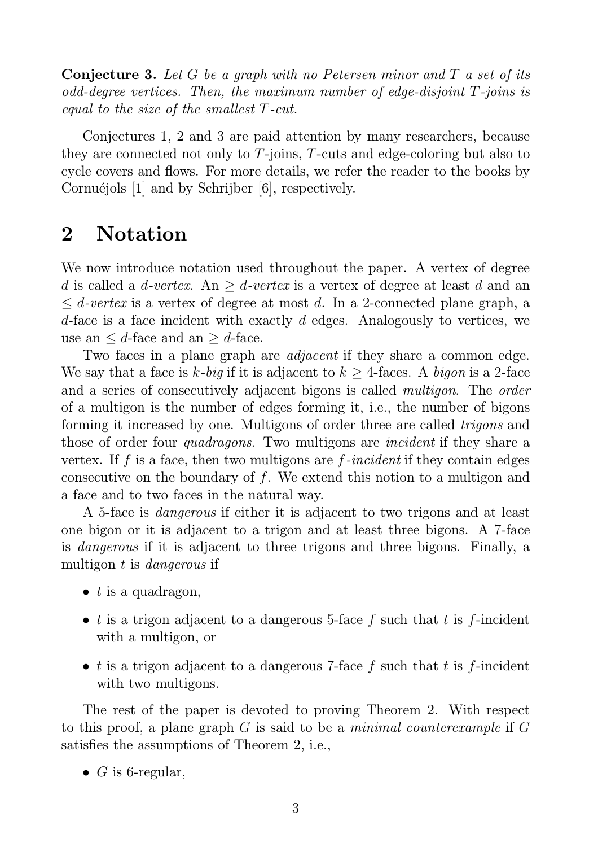**Conjecture 3.** Let G be a graph with no Petersen minor and  $T$  a set of its odd-degree vertices. Then, the maximum number of edge-disjoint T-joins is equal to the size of the smallest T-cut.

Conjectures 1, 2 and 3 are paid attention by many researchers, because they are connected not only to T-joins, T-cuts and edge-coloring but also to cycle covers and flows. For more details, we refer the reader to the books by Cornuéjols [1] and by Schrijber [6], respectively.

## 2 Notation

We now introduce notation used throughout the paper. A vertex of degree d is called a d-vertex. An  $\geq$  d-vertex is a vertex of degree at least d and an  $\leq d$ -vertex is a vertex of degree at most d. In a 2-connected plane graph, a d-face is a face incident with exactly d edges. Analogously to vertices, we use an  $\leq d$ -face and an  $\geq d$ -face.

Two faces in a plane graph are *adjacent* if they share a common edge. We say that a face is k-big if it is adjacent to  $k \geq 4$ -faces. A bigon is a 2-face and a series of consecutively adjacent bigons is called multigon. The order of a multigon is the number of edges forming it, i.e., the number of bigons forming it increased by one. Multigons of order three are called trigons and those of order four *quadragons*. Two multigons are *incident* if they share a vertex. If f is a face, then two multigons are  $f$ -incident if they contain edges consecutive on the boundary of f. We extend this notion to a multigon and a face and to two faces in the natural way.

A 5-face is dangerous if either it is adjacent to two trigons and at least one bigon or it is adjacent to a trigon and at least three bigons. A 7-face is dangerous if it is adjacent to three trigons and three bigons. Finally, a multigon t is *dangerous* if

- $\bullet$  t is a quadragon,
- t is a trigon adjacent to a dangerous 5-face f such that t is f-incident with a multigon, or
- t is a trigon adjacent to a dangerous 7-face f such that t is f-incident with two multigons.

The rest of the paper is devoted to proving Theorem 2. With respect to this proof, a plane graph  $G$  is said to be a *minimal counterexample* if  $G$ satisfies the assumptions of Theorem 2, i.e.,

•  $G$  is 6-regular,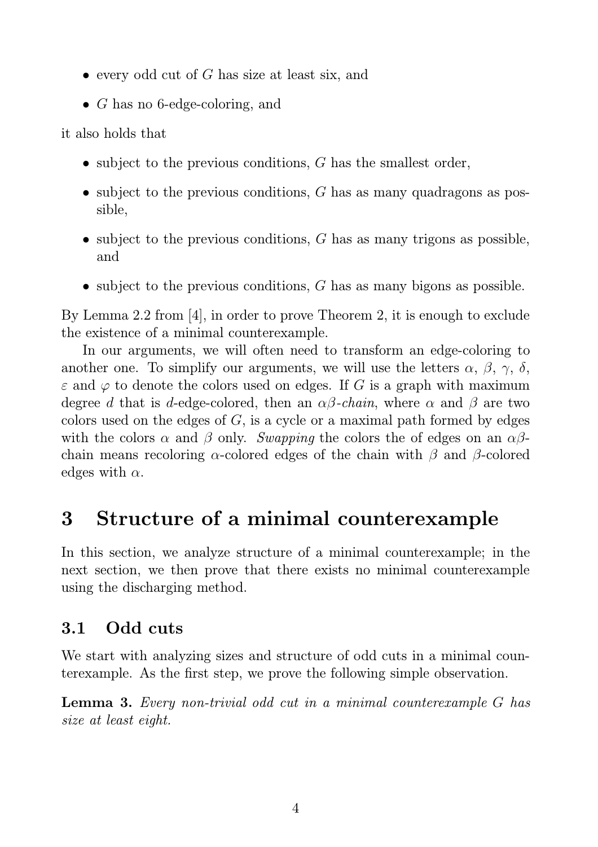- $\bullet$  every odd cut of G has size at least six, and
- G has no 6-edge-coloring, and

it also holds that

- subject to the previous conditions,  $G$  has the smallest order,
- subject to the previous conditions,  $G$  has as many quadragons as possible,
- subject to the previous conditions,  $G$  has as many trigons as possible, and
- subject to the previous conditions,  $G$  has as many bigons as possible.

By Lemma 2.2 from [4], in order to prove Theorem 2, it is enough to exclude the existence of a minimal counterexample.

In our arguments, we will often need to transform an edge-coloring to another one. To simplify our arguments, we will use the letters  $\alpha$ ,  $\beta$ ,  $\gamma$ ,  $\delta$ ,  $\varepsilon$  and  $\varphi$  to denote the colors used on edges. If G is a graph with maximum degree d that is d-edge-colored, then an  $\alpha\beta$ -chain, where  $\alpha$  and  $\beta$  are two colors used on the edges of  $G$ , is a cycle or a maximal path formed by edges with the colors  $\alpha$  and  $\beta$  only. Swapping the colors the of edges on an  $\alpha\beta$ chain means recoloring  $\alpha$ -colored edges of the chain with  $\beta$  and  $\beta$ -colored edges with  $\alpha$ .

# 3 Structure of a minimal counterexample

In this section, we analyze structure of a minimal counterexample; in the next section, we then prove that there exists no minimal counterexample using the discharging method.

### 3.1 Odd cuts

We start with analyzing sizes and structure of odd cuts in a minimal counterexample. As the first step, we prove the following simple observation.

Lemma 3. Every non-trivial odd cut in a minimal counterexample G has size at least eight.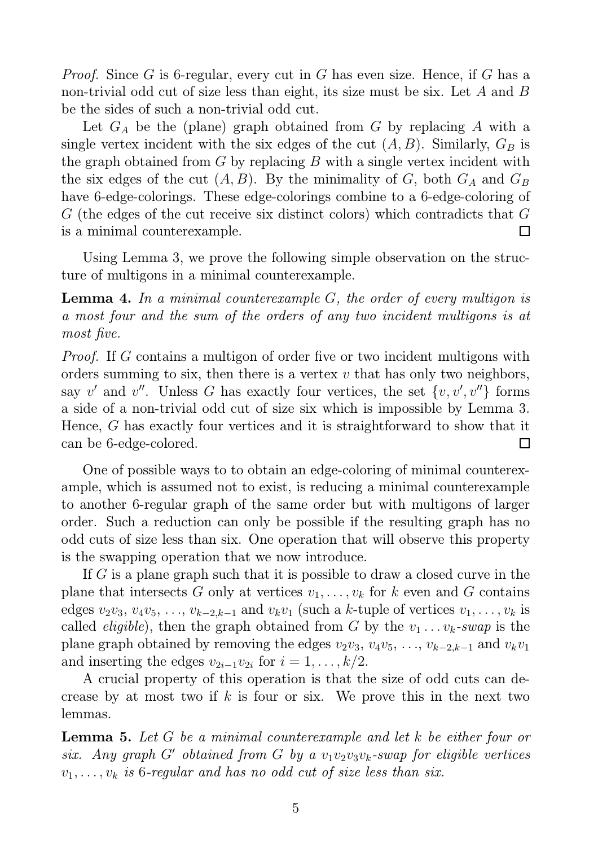*Proof.* Since G is 6-regular, every cut in G has even size. Hence, if G has a non-trivial odd cut of size less than eight, its size must be six. Let A and B be the sides of such a non-trivial odd cut.

Let  $G_A$  be the (plane) graph obtained from G by replacing A with a single vertex incident with the six edges of the cut  $(A, B)$ . Similarly,  $G_B$  is the graph obtained from  $G$  by replacing  $B$  with a single vertex incident with the six edges of the cut  $(A, B)$ . By the minimality of G, both  $G_A$  and  $G_B$ have 6-edge-colorings. These edge-colorings combine to a 6-edge-coloring of G (the edges of the cut receive six distinct colors) which contradicts that G is a minimal counterexample. П

Using Lemma 3, we prove the following simple observation on the structure of multigons in a minimal counterexample.

**Lemma 4.** In a minimal counterexample  $G$ , the order of every multigon is a most four and the sum of the orders of any two incident multigons is at most five.

Proof. If G contains a multigon of order five or two incident multigons with orders summing to six, then there is a vertex  $v$  that has only two neighbors, say v' and v''. Unless G has exactly four vertices, the set  $\{v, v', v''\}$  forms a side of a non-trivial odd cut of size six which is impossible by Lemma 3. Hence, G has exactly four vertices and it is straightforward to show that it can be 6-edge-colored.  $\Box$ 

One of possible ways to to obtain an edge-coloring of minimal counterexample, which is assumed not to exist, is reducing a minimal counterexample to another 6-regular graph of the same order but with multigons of larger order. Such a reduction can only be possible if the resulting graph has no odd cuts of size less than six. One operation that will observe this property is the swapping operation that we now introduce.

If G is a plane graph such that it is possible to draw a closed curve in the plane that intersects G only at vertices  $v_1, \ldots, v_k$  for k even and G contains edges  $v_2v_3, v_4v_5, \ldots, v_{k-2,k-1}$  and  $v_kv_1$  (such a k-tuple of vertices  $v_1, \ldots, v_k$  is called *eligible*), then the graph obtained from G by the  $v_1 \ldots v_k$ -swap is the plane graph obtained by removing the edges  $v_2v_3, v_4v_5, \ldots, v_{k-2,k-1}$  and  $v_kv_1$ and inserting the edges  $v_{2i-1}v_{2i}$  for  $i = 1, \ldots, k/2$ .

A crucial property of this operation is that the size of odd cuts can decrease by at most two if k is four or six. We prove this in the next two lemmas.

**Lemma 5.** Let  $G$  be a minimal counterexample and let  $k$  be either four or six. Any graph G' obtained from G by a  $v_1v_2v_3v_k$ -swap for eligible vertices  $v_1, \ldots, v_k$  is 6-regular and has no odd cut of size less than six.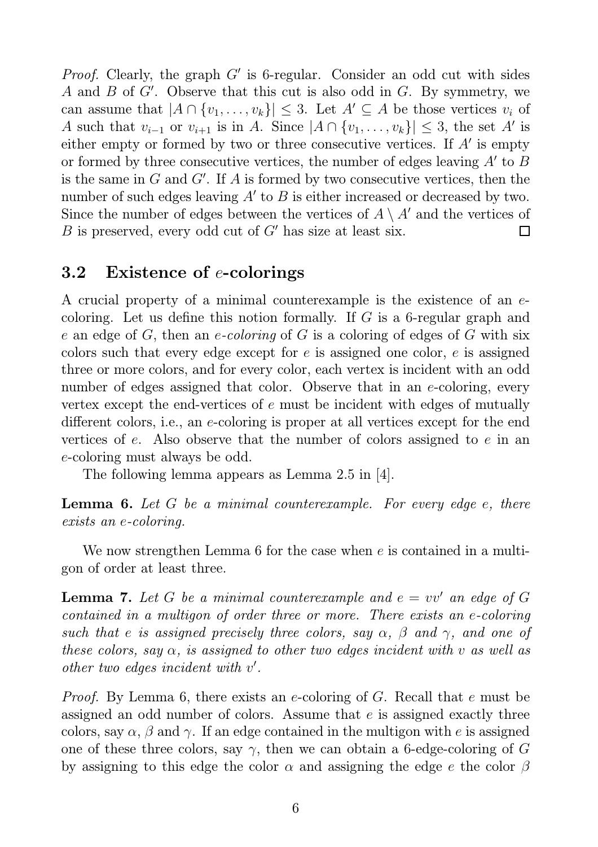*Proof.* Clearly, the graph  $G'$  is 6-regular. Consider an odd cut with sides A and  $B$  of  $G'$ . Observe that this cut is also odd in  $G$ . By symmetry, we can assume that  $|A \cap \{v_1, \ldots, v_k\}| \leq 3$ . Let  $A' \subseteq A$  be those vertices  $v_i$  of A such that  $v_{i-1}$  or  $v_{i+1}$  is in A. Since  $|A \cap \{v_1, \ldots, v_k\}| \leq 3$ , the set A' is either empty or formed by two or three consecutive vertices. If  $A'$  is empty or formed by three consecutive vertices, the number of edges leaving  $A'$  to  $B$ is the same in  $G$  and  $G'$ . If  $A$  is formed by two consecutive vertices, then the number of such edges leaving  $A'$  to  $B$  is either increased or decreased by two. Since the number of edges between the vertices of  $A \setminus A'$  and the vertices of B is preserved, every odd cut of  $G'$  has size at least six. П

#### 3.2 Existence of e-colorings

A crucial property of a minimal counterexample is the existence of an ecoloring. Let us define this notion formally. If  $G$  is a 6-regular graph and e an edge of G, then an e-coloring of G is a coloring of edges of G with six colors such that every edge except for e is assigned one color, e is assigned three or more colors, and for every color, each vertex is incident with an odd number of edges assigned that color. Observe that in an e-coloring, every vertex except the end-vertices of e must be incident with edges of mutually different colors, i.e., an e-coloring is proper at all vertices except for the end vertices of  $e$ . Also observe that the number of colors assigned to  $e$  in an e-coloring must always be odd.

The following lemma appears as Lemma 2.5 in [4].

**Lemma 6.** Let  $G$  be a minimal counterexample. For every edge  $e$ , there exists an e-coloring.

We now strengthen Lemma 6 for the case when e is contained in a multigon of order at least three.

**Lemma 7.** Let G be a minimal counterexample and  $e = vv'$  an edge of G contained in a multigon of order three or more. There exists an e-coloring such that e is assigned precisely three colors, say  $\alpha$ ,  $\beta$  and  $\gamma$ , and one of these colors, say  $\alpha$ , is assigned to other two edges incident with v as well as other two edges incident with v'.

Proof. By Lemma 6, there exists an e-coloring of G. Recall that e must be assigned an odd number of colors. Assume that e is assigned exactly three colors, say  $\alpha$ ,  $\beta$  and  $\gamma$ . If an edge contained in the multigon with e is assigned one of these three colors, say  $\gamma$ , then we can obtain a 6-edge-coloring of G by assigning to this edge the color  $\alpha$  and assigning the edge e the color  $\beta$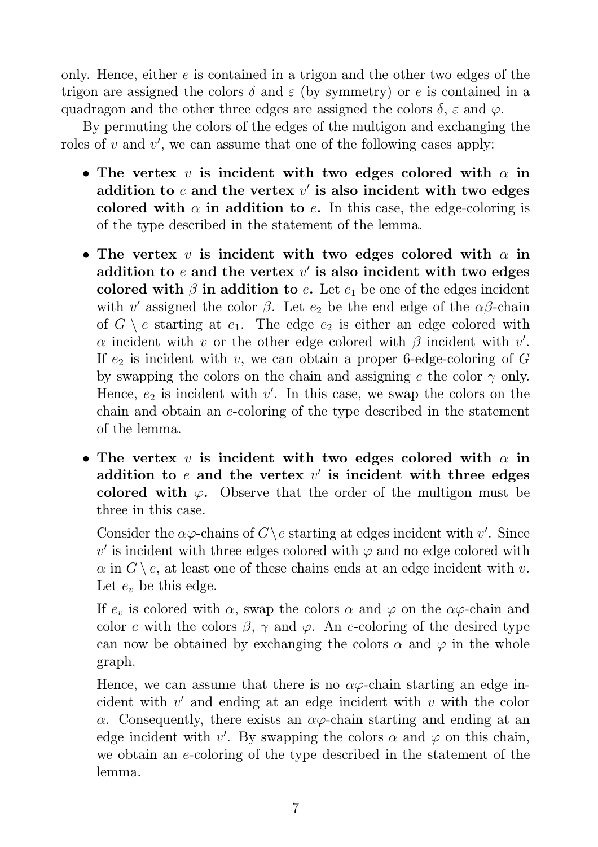only. Hence, either  $e$  is contained in a trigon and the other two edges of the trigon are assigned the colors  $\delta$  and  $\varepsilon$  (by symmetry) or e is contained in a quadragon and the other three edges are assigned the colors  $\delta$ ,  $\varepsilon$  and  $\varphi$ .

By permuting the colors of the edges of the multigon and exchanging the roles of  $v$  and  $v'$ , we can assume that one of the following cases apply:

- The vertex v is incident with two edges colored with  $\alpha$  in addition to  $e$  and the vertex  $v'$  is also incident with two edges colored with  $\alpha$  in addition to e. In this case, the edge-coloring is of the type described in the statement of the lemma.
- The vertex v is incident with two edges colored with  $\alpha$  in addition to  $e$  and the vertex  $v'$  is also incident with two edges colored with  $\beta$  in addition to e. Let  $e_1$  be one of the edges incident with v' assigned the color  $\beta$ . Let  $e_2$  be the end edge of the  $\alpha\beta$ -chain of  $G \setminus e$  starting at  $e_1$ . The edge  $e_2$  is either an edge colored with  $\alpha$  incident with v or the other edge colored with  $\beta$  incident with v'. If  $e_2$  is incident with v, we can obtain a proper 6-edge-coloring of G by swapping the colors on the chain and assigning e the color  $\gamma$  only. Hence,  $e_2$  is incident with  $v'$ . In this case, we swap the colors on the chain and obtain an e-coloring of the type described in the statement of the lemma.
- The vertex v is incident with two edges colored with  $\alpha$  in addition to  $e$  and the vertex  $v'$  is incident with three edges colored with  $\varphi$ . Observe that the order of the multigon must be three in this case.

Consider the  $\alpha\varphi$ -chains of  $G \backslash e$  starting at edges incident with v'. Since  $v'$  is incident with three edges colored with  $\varphi$  and no edge colored with  $\alpha$  in  $G \setminus e$ , at least one of these chains ends at an edge incident with v. Let  $e_v$  be this edge.

If  $e_v$  is colored with  $\alpha$ , swap the colors  $\alpha$  and  $\varphi$  on the  $\alpha\varphi$ -chain and color e with the colors  $\beta$ ,  $\gamma$  and  $\varphi$ . An e-coloring of the desired type can now be obtained by exchanging the colors  $\alpha$  and  $\varphi$  in the whole graph.

Hence, we can assume that there is no  $\alpha\varphi$ -chain starting an edge incident with  $v'$  and ending at an edge incident with  $v$  with the color  $\alpha$ . Consequently, there exists an  $\alpha\varphi$ -chain starting and ending at an edge incident with v'. By swapping the colors  $\alpha$  and  $\varphi$  on this chain, we obtain an e-coloring of the type described in the statement of the lemma.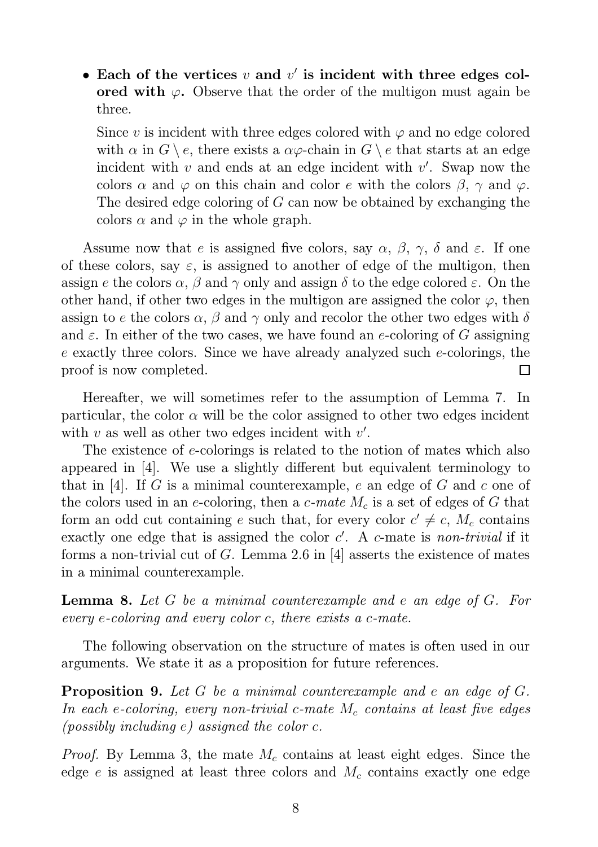• Each of the vertices  $v$  and  $v'$  is incident with three edges colored with  $\varphi$ . Observe that the order of the multigon must again be three.

Since v is incident with three edges colored with  $\varphi$  and no edge colored with  $\alpha$  in  $G \setminus e$ , there exists a  $\alpha \varphi$ -chain in  $G \setminus e$  that starts at an edge incident with  $v$  and ends at an edge incident with  $v'$ . Swap now the colors  $\alpha$  and  $\varphi$  on this chain and color e with the colors  $\beta$ ,  $\gamma$  and  $\varphi$ . The desired edge coloring of G can now be obtained by exchanging the colors  $\alpha$  and  $\varphi$  in the whole graph.

Assume now that e is assigned five colors, say  $\alpha$ ,  $\beta$ ,  $\gamma$ ,  $\delta$  and  $\varepsilon$ . If one of these colors, say  $\varepsilon$ , is assigned to another of edge of the multigon, then assign e the colors  $\alpha$ ,  $\beta$  and  $\gamma$  only and assign  $\delta$  to the edge colored  $\varepsilon$ . On the other hand, if other two edges in the multigon are assigned the color  $\varphi$ , then assign to e the colors  $\alpha$ ,  $\beta$  and  $\gamma$  only and recolor the other two edges with  $\delta$ and  $\varepsilon$ . In either of the two cases, we have found an e-coloring of G assigning e exactly three colors. Since we have already analyzed such e-colorings, the proof is now completed. П

Hereafter, we will sometimes refer to the assumption of Lemma 7. In particular, the color  $\alpha$  will be the color assigned to other two edges incident with  $v$  as well as other two edges incident with  $v'$ .

The existence of e-colorings is related to the notion of mates which also appeared in [4]. We use a slightly different but equivalent terminology to that in [4]. If G is a minimal counterexample, e an edge of G and c one of the colors used in an e-coloring, then a c-mate  $M_c$  is a set of edges of G that form an odd cut containing e such that, for every color  $c' \neq c$ ,  $M_c$  contains exactly one edge that is assigned the color  $c'$ . A  $c$ -mate is non-trivial if it forms a non-trivial cut of  $G$ . Lemma 2.6 in [4] asserts the existence of mates in a minimal counterexample.

**Lemma 8.** Let G be a minimal counterexample and e an edge of G. For every e-coloring and every color c, there exists a c-mate.

The following observation on the structure of mates is often used in our arguments. We state it as a proposition for future references.

**Proposition 9.** Let G be a minimal counterexample and e an edge of G. In each e-coloring, every non-trivial c-mate  $M_c$  contains at least five edges (possibly including  $e$ ) assigned the color  $c$ .

*Proof.* By Lemma 3, the mate  $M_c$  contains at least eight edges. Since the edge e is assigned at least three colors and  $M_c$  contains exactly one edge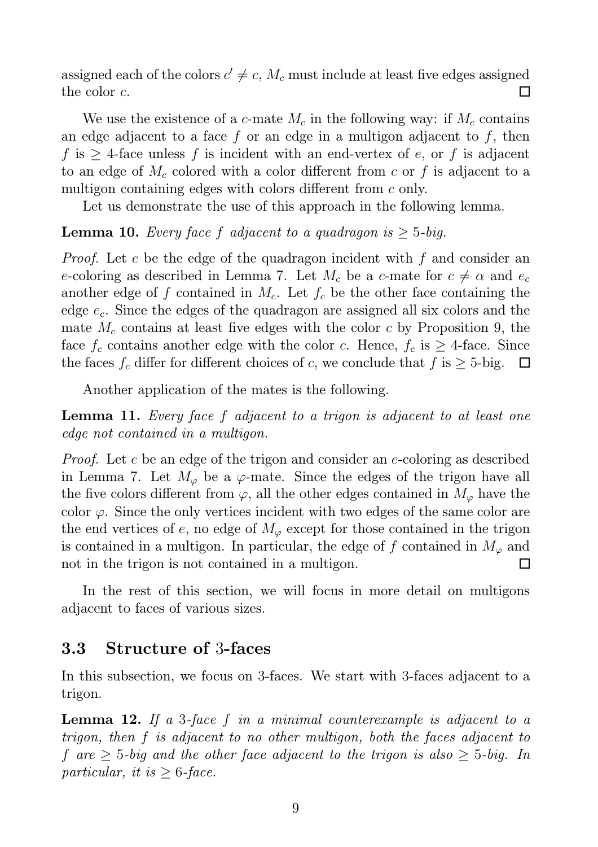assigned each of the colors  $c' \neq c$ ,  $M_c$  must include at least five edges assigned the color c.  $\Box$ 

We use the existence of a c-mate  $M_c$  in the following way: if  $M_c$  contains an edge adjacent to a face f or an edge in a multigon adjacent to f, then f is  $\geq$  4-face unless f is incident with an end-vertex of e, or f is adjacent to an edge of  $M_c$  colored with a color different from c or f is adjacent to a multigon containing edges with colors different from c only.

Let us demonstrate the use of this approach in the following lemma.

#### **Lemma 10.** Every face f adjacent to a quadragon is  $\geq$  5-big.

Proof. Let e be the edge of the quadragon incident with f and consider an e-coloring as described in Lemma 7. Let  $M_c$  be a c-mate for  $c \neq \alpha$  and  $e_c$ another edge of f contained in  $M_c$ . Let  $f_c$  be the other face containing the edge  $e_c$ . Since the edges of the quadragon are assigned all six colors and the mate  $M_c$  contains at least five edges with the color c by Proposition 9, the face  $f_c$  contains another edge with the color c. Hence,  $f_c$  is  $\geq$  4-face. Since the faces  $f_c$  differ for different choices of c, we conclude that  $f$  is  $\geq 5$ -big.  $\Box$ 

Another application of the mates is the following.

Lemma 11. Every face f adjacent to a trigon is adjacent to at least one edge not contained in a multigon.

Proof. Let e be an edge of the trigon and consider an e-coloring as described in Lemma 7. Let  $M_{\varphi}$  be a  $\varphi$ -mate. Since the edges of the trigon have all the five colors different from  $\varphi$ , all the other edges contained in  $M_{\varphi}$  have the color  $\varphi$ . Since the only vertices incident with two edges of the same color are the end vertices of e, no edge of  $M_{\varphi}$  except for those contained in the trigon is contained in a multigon. In particular, the edge of f contained in  $M_{\varphi}$  and not in the trigon is not contained in a multigon.  $\Box$ 

In the rest of this section, we will focus in more detail on multigons adjacent to faces of various sizes.

#### 3.3 Structure of 3-faces

In this subsection, we focus on 3-faces. We start with 3-faces adjacent to a trigon.

**Lemma 12.** If a 3-face f in a minimal counterexample is adjacent to a trigon, then f is adjacent to no other multigon, both the faces adjacent to f are  $\geq$  5-big and the other face adjacent to the trigon is also  $\geq$  5-big. In particular, it is  $\geq 6$ -face.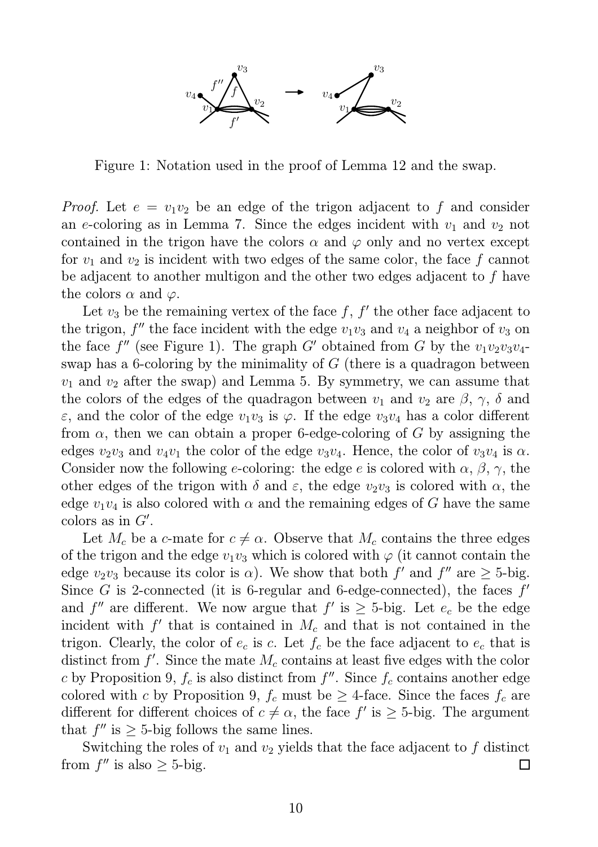

Figure 1: Notation used in the proof of Lemma 12 and the swap.

*Proof.* Let  $e = v_1v_2$  be an edge of the trigon adjacent to f and consider an e-coloring as in Lemma 7. Since the edges incident with  $v_1$  and  $v_2$  not contained in the trigon have the colors  $\alpha$  and  $\varphi$  only and no vertex except for  $v_1$  and  $v_2$  is incident with two edges of the same color, the face f cannot be adjacent to another multigon and the other two edges adjacent to f have the colors  $\alpha$  and  $\varphi$ .

Let  $v_3$  be the remaining vertex of the face  $f, f'$  the other face adjacent to the trigon,  $f''$  the face incident with the edge  $v_1v_3$  and  $v_4$  a neighbor of  $v_3$  on the face  $f''$  (see Figure 1). The graph G' obtained from G by the  $v_1v_2v_3v_4$ swap has a 6-coloring by the minimality of  $G$  (there is a quadragon between  $v_1$  and  $v_2$  after the swap) and Lemma 5. By symmetry, we can assume that the colors of the edges of the quadragon between  $v_1$  and  $v_2$  are  $\beta$ ,  $\gamma$ ,  $\delta$  and  $\varepsilon$ , and the color of the edge  $v_1v_3$  is  $\varphi$ . If the edge  $v_3v_4$  has a color different from  $\alpha$ , then we can obtain a proper 6-edge-coloring of G by assigning the edges  $v_2v_3$  and  $v_4v_1$  the color of the edge  $v_3v_4$ . Hence, the color of  $v_3v_4$  is  $\alpha$ . Consider now the following e-coloring: the edge e is colored with  $\alpha$ ,  $\beta$ ,  $\gamma$ , the other edges of the trigon with  $\delta$  and  $\varepsilon$ , the edge  $v_2v_3$  is colored with  $\alpha$ , the edge  $v_1v_4$  is also colored with  $\alpha$  and the remaining edges of G have the same colors as in  $G'$ .

Let  $M_c$  be a c-mate for  $c \neq \alpha$ . Observe that  $M_c$  contains the three edges of the trigon and the edge  $v_1v_3$  which is colored with  $\varphi$  (it cannot contain the edge  $v_2v_3$  because its color is  $\alpha$ ). We show that both f' and f'' are  $\geq 5$ -big. Since  $G$  is 2-connected (it is 6-regular and 6-edge-connected), the faces  $f'$ and f'' are different. We now argue that  $f'$  is  $\geq$  5-big. Let  $e_c$  be the edge incident with  $f'$  that is contained in  $M_c$  and that is not contained in the trigon. Clearly, the color of  $e_c$  is c. Let  $f_c$  be the face adjacent to  $e_c$  that is distinct from  $f'$ . Since the mate  $M_c$  contains at least five edges with the color c by Proposition 9,  $f_c$  is also distinct from  $f''$ . Since  $f_c$  contains another edge colored with c by Proposition 9,  $f_c$  must be  $\geq$  4-face. Since the faces  $f_c$  are different for different choices of  $c \neq \alpha$ , the face f' is  $\geq$  5-big. The argument that  $f''$  is  $\geq$  5-big follows the same lines.

Switching the roles of  $v_1$  and  $v_2$  yields that the face adjacent to  $f$  distinct from  $f''$  is also  $\geq$  5-big.  $\Box$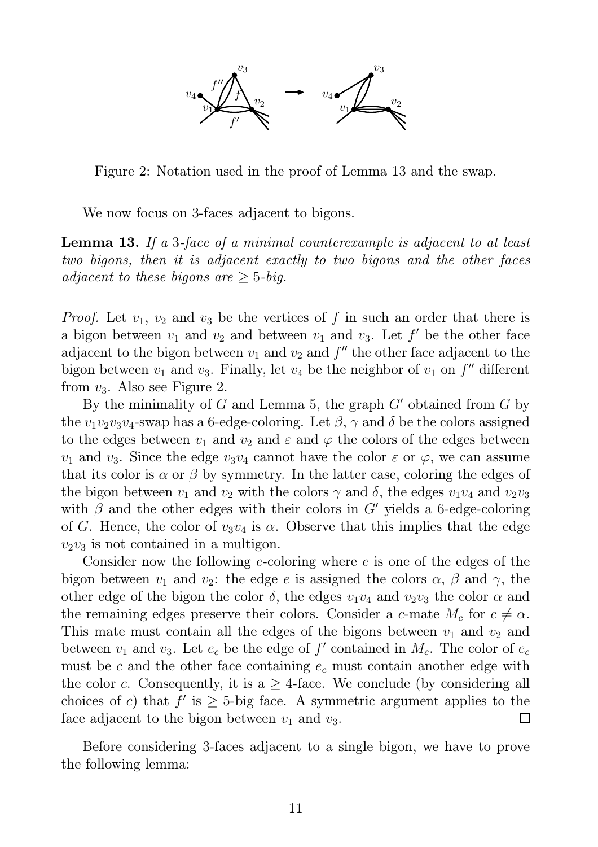

Figure 2: Notation used in the proof of Lemma 13 and the swap.

We now focus on 3-faces adjacent to bigons.

Lemma 13. If a 3-face of a minimal counterexample is adjacent to at least two bigons, then it is adjacent exactly to two bigons and the other faces adjacent to these bigons are  $\geq$  5-big.

*Proof.* Let  $v_1, v_2$  and  $v_3$  be the vertices of f in such an order that there is a bigon between  $v_1$  and  $v_2$  and between  $v_1$  and  $v_3$ . Let  $f'$  be the other face adjacent to the bigon between  $v_1$  and  $v_2$  and  $f''$  the other face adjacent to the bigon between  $v_1$  and  $v_3$ . Finally, let  $v_4$  be the neighbor of  $v_1$  on  $f''$  different from  $v_3$ . Also see Figure 2.

By the minimality of G and Lemma 5, the graph  $G'$  obtained from G by the  $v_1v_2v_3v_4$ -swap has a 6-edge-coloring. Let  $\beta$ ,  $\gamma$  and  $\delta$  be the colors assigned to the edges between  $v_1$  and  $v_2$  and  $\varepsilon$  and  $\varphi$  the colors of the edges between  $v_1$  and  $v_3$ . Since the edge  $v_3v_4$  cannot have the color  $\varepsilon$  or  $\varphi$ , we can assume that its color is  $\alpha$  or  $\beta$  by symmetry. In the latter case, coloring the edges of the bigon between  $v_1$  and  $v_2$  with the colors  $\gamma$  and  $\delta$ , the edges  $v_1v_4$  and  $v_2v_3$ with  $\beta$  and the other edges with their colors in G' yields a 6-edge-coloring of G. Hence, the color of  $v_3v_4$  is  $\alpha$ . Observe that this implies that the edge  $v_2v_3$  is not contained in a multigon.

Consider now the following e-coloring where e is one of the edges of the bigon between  $v_1$  and  $v_2$ : the edge e is assigned the colors  $\alpha$ ,  $\beta$  and  $\gamma$ , the other edge of the bigon the color  $\delta$ , the edges  $v_1v_4$  and  $v_2v_3$  the color  $\alpha$  and the remaining edges preserve their colors. Consider a c-mate  $M_c$  for  $c \neq \alpha$ . This mate must contain all the edges of the bigons between  $v_1$  and  $v_2$  and between  $v_1$  and  $v_3$ . Let  $e_c$  be the edge of  $f'$  contained in  $M_c$ . The color of  $e_c$ must be c and the other face containing  $e_c$  must contain another edge with the color c. Consequently, it is a  $\geq$  4-face. We conclude (by considering all choices of c) that  $f'$  is  $\geq$  5-big face. A symmetric argument applies to the face adjacent to the bigon between  $v_1$  and  $v_3$ .  $\Box$ 

Before considering 3-faces adjacent to a single bigon, we have to prove the following lemma: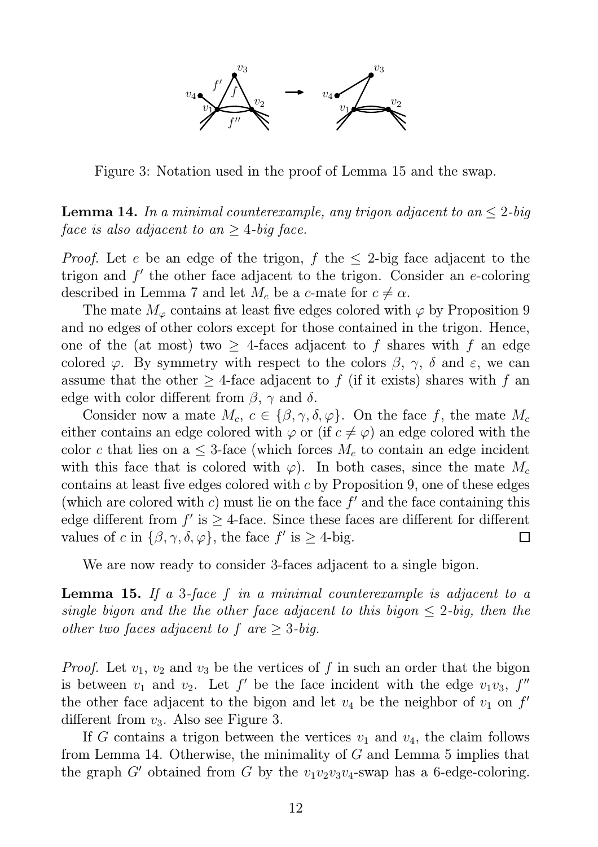

Figure 3: Notation used in the proof of Lemma 15 and the swap.

**Lemma 14.** In a minimal counterexample, any trigon adjacent to an  $\leq 2$ -big face is also adjacent to an  $\geq$  4-big face.

*Proof.* Let e be an edge of the trigon, f the  $\leq$  2-big face adjacent to the trigon and  $f'$  the other face adjacent to the trigon. Consider an  $e$ -coloring described in Lemma 7 and let  $M_c$  be a c-mate for  $c \neq \alpha$ .

The mate  $M_{\varphi}$  contains at least five edges colored with  $\varphi$  by Proposition 9 and no edges of other colors except for those contained in the trigon. Hence, one of the (at most) two  $>$  4-faces adjacent to f shares with f an edge colored  $\varphi$ . By symmetry with respect to the colors  $\beta$ ,  $\gamma$ ,  $\delta$  and  $\varepsilon$ , we can assume that the other  $\geq$  4-face adjacent to f (if it exists) shares with f an edge with color different from  $\beta$ ,  $\gamma$  and  $\delta$ .

Consider now a mate  $M_c$ ,  $c \in {\beta, \gamma, \delta, \varphi}$ . On the face f, the mate  $M_c$ either contains an edge colored with  $\varphi$  or (if  $c \neq \varphi$ ) an edge colored with the color c that lies on a  $\leq$  3-face (which forces  $M_c$  to contain an edge incident with this face that is colored with  $\varphi$ ). In both cases, since the mate  $M_c$ contains at least five edges colored with c by Proposition 9, one of these edges (which are colored with  $c$ ) must lie on the face  $f'$  and the face containing this edge different from  $f'$  is  $\geq$  4-face. Since these faces are different for different values of c in  $\{\beta, \gamma, \delta, \varphi\}$ , the face  $f'$  is  $\geq 4$ -big.  $\Box$ 

We are now ready to consider 3-faces adjacent to a single bigon.

**Lemma 15.** If a 3-face f in a minimal counterexample is adjacent to a single bigon and the the other face adjacent to this bigon  $\leq 2$ -big, then the other two faces adjacent to f are  $\geq 3$ -big.

*Proof.* Let  $v_1, v_2$  and  $v_3$  be the vertices of f in such an order that the bigon is between  $v_1$  and  $v_2$ . Let f' be the face incident with the edge  $v_1v_3$ , f'' the other face adjacent to the bigon and let  $v_4$  be the neighbor of  $v_1$  on  $f'$ different from  $v_3$ . Also see Figure 3.

If G contains a trigon between the vertices  $v_1$  and  $v_4$ , the claim follows from Lemma 14. Otherwise, the minimality of  $G$  and Lemma 5 implies that the graph G' obtained from G by the  $v_1v_2v_3v_4$ -swap has a 6-edge-coloring.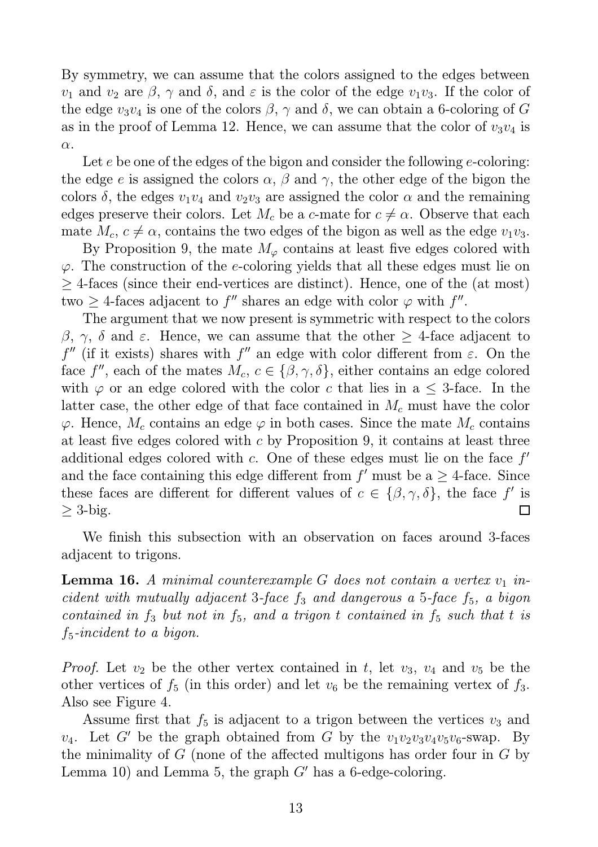By symmetry, we can assume that the colors assigned to the edges between  $v_1$  and  $v_2$  are  $\beta$ ,  $\gamma$  and  $\delta$ , and  $\varepsilon$  is the color of the edge  $v_1v_3$ . If the color of the edge  $v_3v_4$  is one of the colors  $\beta$ ,  $\gamma$  and  $\delta$ , we can obtain a 6-coloring of G as in the proof of Lemma 12. Hence, we can assume that the color of  $v_3v_4$  is  $\alpha$ .

Let  $e$  be one of the edges of the bigon and consider the following  $e$ -coloring: the edge e is assigned the colors  $\alpha$ ,  $\beta$  and  $\gamma$ , the other edge of the bigon the colors  $\delta$ , the edges  $v_1v_4$  and  $v_2v_3$  are assigned the color  $\alpha$  and the remaining edges preserve their colors. Let  $M_c$  be a c-mate for  $c \neq \alpha$ . Observe that each mate  $M_c$ ,  $c \neq \alpha$ , contains the two edges of the bigon as well as the edge  $v_1v_3$ .

By Proposition 9, the mate  $M_{\varphi}$  contains at least five edges colored with  $\varphi$ . The construction of the *e*-coloring yields that all these edges must lie on  $\geq$  4-faces (since their end-vertices are distinct). Hence, one of the (at most) two  $\geq$  4-faces adjacent to f'' shares an edge with color  $\varphi$  with f''.

The argument that we now present is symmetric with respect to the colors β, γ, δ and ε. Hence, we can assume that the other  $\geq$  4-face adjacent to  $f''$  (if it exists) shares with  $f''$  an edge with color different from  $\varepsilon$ . On the face  $f''$ , each of the mates  $M_c$ ,  $c \in {\beta, \gamma, \delta}$ , either contains an edge colored with  $\varphi$  or an edge colored with the color c that lies in a  $\leq$  3-face. In the latter case, the other edge of that face contained in  $M_c$  must have the color  $\varphi$ . Hence,  $M_c$  contains an edge  $\varphi$  in both cases. Since the mate  $M_c$  contains at least five edges colored with  $c$  by Proposition 9, it contains at least three additional edges colored with  $c$ . One of these edges must lie on the face  $f'$ and the face containing this edge different from  $f'$  must be a  $\geq$  4-face. Since these faces are different for different values of  $c \in \{\beta, \gamma, \delta\}$ , the face f' is  $\geq$  3-big. П

We finish this subsection with an observation on faces around 3-faces adjacent to trigons.

**Lemma 16.** A minimal counterexample  $G$  does not contain a vertex  $v_1$  incident with mutually adjacent 3-face  $f_3$  and dangerous a 5-face  $f_5$ , a bigon contained in  $f_3$  but not in  $f_5$ , and a trigon t contained in  $f_5$  such that t is  $f_5$ -incident to a bigon.

*Proof.* Let  $v_2$  be the other vertex contained in t, let  $v_3$ ,  $v_4$  and  $v_5$  be the other vertices of  $f_5$  (in this order) and let  $v_6$  be the remaining vertex of  $f_3$ . Also see Figure 4.

Assume first that  $f_5$  is adjacent to a trigon between the vertices  $v_3$  and  $v_4$ . Let G' be the graph obtained from G by the  $v_1v_2v_3v_4v_5v_6$ -swap. By the minimality of  $G$  (none of the affected multigons has order four in  $G$  by Lemma 10) and Lemma 5, the graph  $G'$  has a 6-edge-coloring.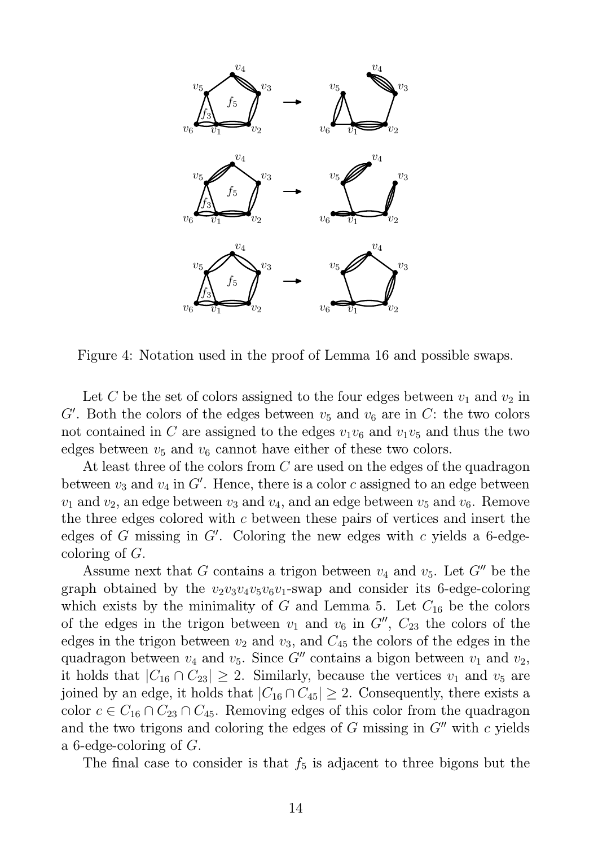

Figure 4: Notation used in the proof of Lemma 16 and possible swaps.

Let C be the set of colors assigned to the four edges between  $v_1$  and  $v_2$  in  $G'$ . Both the colors of the edges between  $v_5$  and  $v_6$  are in C: the two colors not contained in C are assigned to the edges  $v_1v_6$  and  $v_1v_5$  and thus the two edges between  $v_5$  and  $v_6$  cannot have either of these two colors.

At least three of the colors from C are used on the edges of the quadragon between  $v_3$  and  $v_4$  in G'. Hence, there is a color c assigned to an edge between  $v_1$  and  $v_2$ , an edge between  $v_3$  and  $v_4$ , and an edge between  $v_5$  and  $v_6$ . Remove the three edges colored with c between these pairs of vertices and insert the edges of  $G$  missing in  $G'$ . Coloring the new edges with  $c$  yields a 6-edgecoloring of  $G$ .

Assume next that G contains a trigon between  $v_4$  and  $v_5$ . Let G'' be the graph obtained by the  $v_2v_3v_4v_5v_6v_1$ -swap and consider its 6-edge-coloring which exists by the minimality of G and Lemma 5. Let  $C_{16}$  be the colors of the edges in the trigon between  $v_1$  and  $v_6$  in  $G''$ ,  $C_{23}$  the colors of the edges in the trigon between  $v_2$  and  $v_3$ , and  $C_{45}$  the colors of the edges in the quadragon between  $v_4$  and  $v_5$ . Since G'' contains a bigon between  $v_1$  and  $v_2$ , it holds that  $|C_{16} \cap C_{23}| \geq 2$ . Similarly, because the vertices  $v_1$  and  $v_5$  are joined by an edge, it holds that  $|C_{16} \cap C_{45}| \geq 2$ . Consequently, there exists a color  $c \in C_{16} \cap C_{23} \cap C_{45}$ . Removing edges of this color from the quadragon and the two trigons and coloring the edges of  $G$  missing in  $G''$  with  $c$  yields a 6-edge-coloring of G.

The final case to consider is that  $f_5$  is adjacent to three bigons but the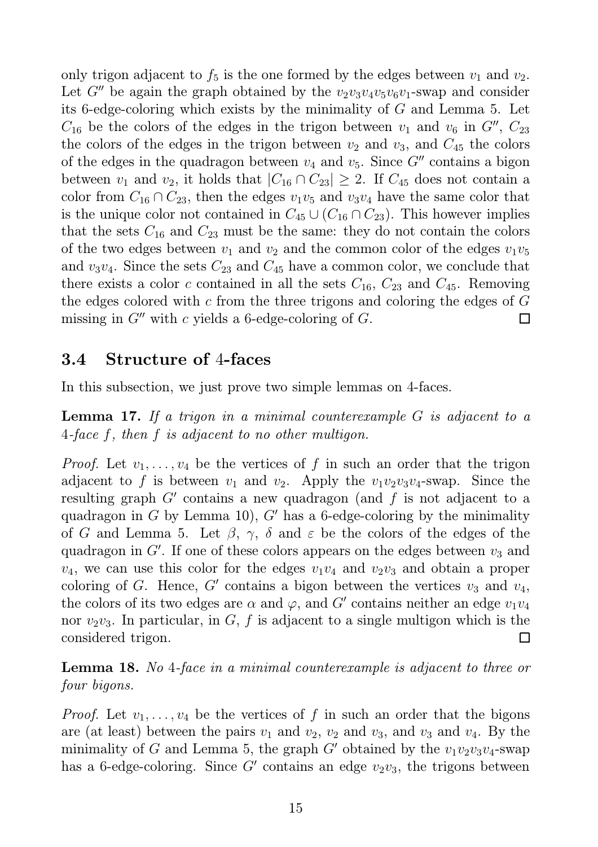only trigon adjacent to  $f_5$  is the one formed by the edges between  $v_1$  and  $v_2$ . Let  $G''$  be again the graph obtained by the  $v_2v_3v_4v_5v_6v_1$ -swap and consider its 6-edge-coloring which exists by the minimality of G and Lemma 5. Let  $C_{16}$  be the colors of the edges in the trigon between  $v_1$  and  $v_6$  in  $G''$ ,  $C_{23}$ the colors of the edges in the trigon between  $v_2$  and  $v_3$ , and  $C_{45}$  the colors of the edges in the quadragon between  $v_4$  and  $v_5$ . Since  $G''$  contains a bigon between  $v_1$  and  $v_2$ , it holds that  $|C_{16} \cap C_{23}| \geq 2$ . If  $C_{45}$  does not contain a color from  $C_{16} \cap C_{23}$ , then the edges  $v_1v_5$  and  $v_3v_4$  have the same color that is the unique color not contained in  $C_{45} \cup (C_{16} \cap C_{23})$ . This however implies that the sets  $C_{16}$  and  $C_{23}$  must be the same: they do not contain the colors of the two edges between  $v_1$  and  $v_2$  and the common color of the edges  $v_1v_5$ and  $v_3v_4$ . Since the sets  $C_{23}$  and  $C_{45}$  have a common color, we conclude that there exists a color c contained in all the sets  $C_{16}$ ,  $C_{23}$  and  $C_{45}$ . Removing the edges colored with c from the three trigons and coloring the edges of  $G$ missing in  $G''$  with c yields a 6-edge-coloring of G. П

#### 3.4 Structure of 4-faces

In this subsection, we just prove two simple lemmas on 4-faces.

**Lemma 17.** If a trigon in a minimal counterexample  $G$  is adjacent to a 4-face f, then f is adjacent to no other multigon.

*Proof.* Let  $v_1, \ldots, v_4$  be the vertices of f in such an order that the trigon adjacent to f is between  $v_1$  and  $v_2$ . Apply the  $v_1v_2v_3v_4$ -swap. Since the resulting graph  $G'$  contains a new quadragon (and  $f$  is not adjacent to a quadragon in G by Lemma 10),  $G'$  has a 6-edge-coloring by the minimality of G and Lemma 5. Let  $\beta$ ,  $\gamma$ ,  $\delta$  and  $\varepsilon$  be the colors of the edges of the quadragon in  $G'$ . If one of these colors appears on the edges between  $v_3$  and  $v_4$ , we can use this color for the edges  $v_1v_4$  and  $v_2v_3$  and obtain a proper coloring of G. Hence, G' contains a bigon between the vertices  $v_3$  and  $v_4$ , the colors of its two edges are  $\alpha$  and  $\varphi$ , and  $G'$  contains neither an edge  $v_1v_4$ nor  $v_2v_3$ . In particular, in G, f is adjacent to a single multigon which is the considered trigon. П

Lemma 18. No 4-face in a minimal counterexample is adjacent to three or four bigons.

*Proof.* Let  $v_1, \ldots, v_4$  be the vertices of f in such an order that the bigons are (at least) between the pairs  $v_1$  and  $v_2$ ,  $v_2$  and  $v_3$ , and  $v_3$  and  $v_4$ . By the minimality of G and Lemma 5, the graph G' obtained by the  $v_1v_2v_3v_4$ -swap has a 6-edge-coloring. Since  $G'$  contains an edge  $v_2v_3$ , the trigons between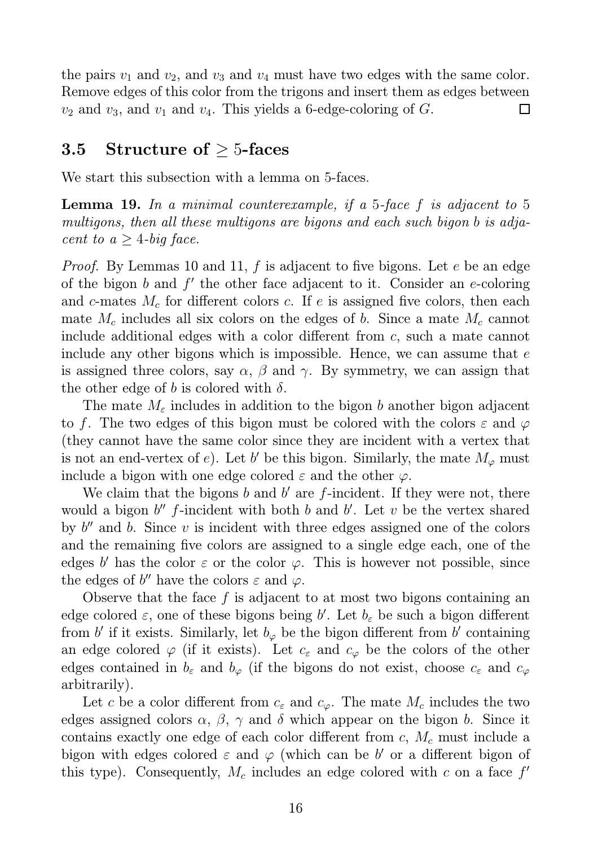the pairs  $v_1$  and  $v_2$ , and  $v_3$  and  $v_4$  must have two edges with the same color. Remove edges of this color from the trigons and insert them as edges between  $v_2$  and  $v_3$ , and  $v_1$  and  $v_4$ . This yields a 6-edge-coloring of G.  $\Box$ 

#### 3.5 Structure of  $\geq$  5-faces

We start this subsection with a lemma on 5-faces.

**Lemma 19.** In a minimal counterexample, if a 5-face f is adjacent to 5 multigons, then all these multigons are bigons and each such bigon b is adjacent to  $a \geq 4$ -big face.

*Proof.* By Lemmas 10 and 11,  $f$  is adjacent to five bigons. Let  $e$  be an edge of the bigon  $b$  and  $f'$  the other face adjacent to it. Consider an e-coloring and c-mates  $M_c$  for different colors c. If e is assigned five colors, then each mate  $M_c$  includes all six colors on the edges of b. Since a mate  $M_c$  cannot include additional edges with a color different from c, such a mate cannot include any other bigons which is impossible. Hence, we can assume that  $e$ is assigned three colors, say  $\alpha$ ,  $\beta$  and  $\gamma$ . By symmetry, we can assign that the other edge of b is colored with  $\delta$ .

The mate  $M_{\varepsilon}$  includes in addition to the bigon b another bigon adjacent to f. The two edges of this bigon must be colored with the colors  $\varepsilon$  and  $\varphi$ (they cannot have the same color since they are incident with a vertex that is not an end-vertex of e). Let b' be this bigon. Similarly, the mate  $M_{\varphi}$  must include a bigon with one edge colored  $\varepsilon$  and the other  $\varphi$ .

We claim that the bigons  $b$  and  $b'$  are  $f$ -incident. If they were not, there would a bigon  $b''$  f-incident with both b and b'. Let v be the vertex shared by  $b''$  and b. Since  $v$  is incident with three edges assigned one of the colors and the remaining five colors are assigned to a single edge each, one of the edges b' has the color  $\varepsilon$  or the color  $\varphi$ . This is however not possible, since the edges of b'' have the colors  $\varepsilon$  and  $\varphi$ .

Observe that the face  $f$  is adjacent to at most two bigons containing an edge colored  $\varepsilon$ , one of these bigons being b'. Let  $b_{\varepsilon}$  be such a bigon different from b' if it exists. Similarly, let  $b_{\varphi}$  be the bigon different from b' containing an edge colored  $\varphi$  (if it exists). Let  $c_{\varepsilon}$  and  $c_{\varphi}$  be the colors of the other edges contained in  $b_{\varepsilon}$  and  $b_{\varphi}$  (if the bigons do not exist, choose  $c_{\varepsilon}$  and  $c_{\varphi}$ arbitrarily).

Let c be a color different from  $c_{\varepsilon}$  and  $c_{\varphi}$ . The mate  $M_c$  includes the two edges assigned colors  $\alpha$ ,  $\beta$ ,  $\gamma$  and  $\delta$  which appear on the bigon b. Since it contains exactly one edge of each color different from  $c, M_c$  must include a bigon with edges colored  $\varepsilon$  and  $\varphi$  (which can be b' or a different bigon of this type). Consequently,  $M_c$  includes an edge colored with c on a face  $f'$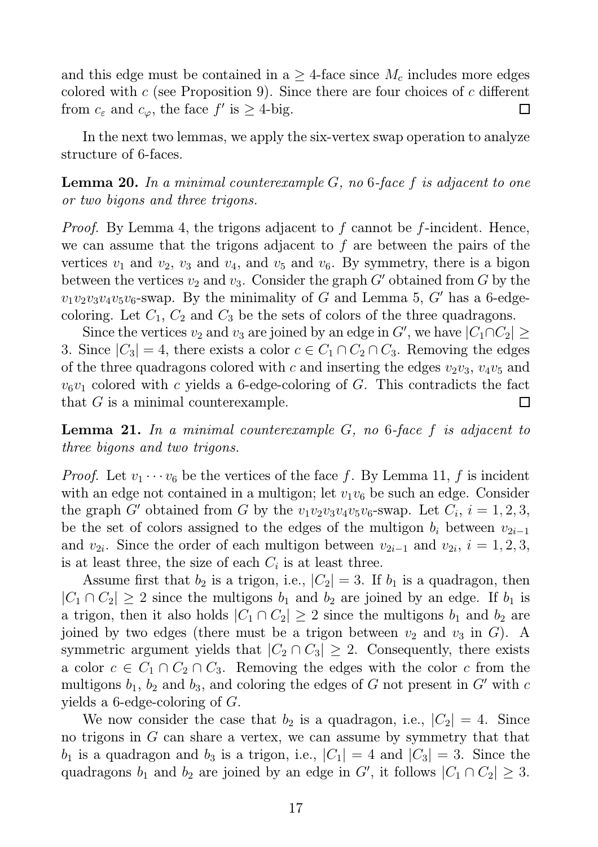and this edge must be contained in a  $\geq$  4-face since  $M_c$  includes more edges colored with  $c$  (see Proposition 9). Since there are four choices of  $c$  different from  $c_{\varepsilon}$  and  $c_{\varphi}$ , the face  $f'$  is  $\geq$  4-big.  $\Box$ 

In the next two lemmas, we apply the six-vertex swap operation to analyze structure of 6-faces.

**Lemma 20.** In a minimal counterexample  $G$ , no 6-face f is adjacent to one or two bigons and three trigons.

Proof. By Lemma 4, the trigons adjacent to f cannot be f-incident. Hence, we can assume that the trigons adjacent to  $f$  are between the pairs of the vertices  $v_1$  and  $v_2$ ,  $v_3$  and  $v_4$ , and  $v_5$  and  $v_6$ . By symmetry, there is a bigon between the vertices  $v_2$  and  $v_3$ . Consider the graph G' obtained from G by the  $v_1v_2v_3v_4v_5v_6$ -swap. By the minimality of G and Lemma 5, G' has a 6-edgecoloring. Let  $C_1$ ,  $C_2$  and  $C_3$  be the sets of colors of the three quadragons.

Since the vertices  $v_2$  and  $v_3$  are joined by an edge in G', we have  $|C_1 \cap C_2| \ge$ 3. Since  $|C_3| = 4$ , there exists a color  $c \in C_1 \cap C_2 \cap C_3$ . Removing the edges of the three quadragons colored with c and inserting the edges  $v_2v_3$ ,  $v_4v_5$  and  $v_6v_1$  colored with c yields a 6-edge-coloring of G. This contradicts the fact that  $G$  is a minimal counterexample.  $\Box$ 

**Lemma 21.** In a minimal counterexample  $G$ , no 6-face  $f$  is adjacent to three bigons and two trigons.

*Proof.* Let  $v_1 \cdots v_6$  be the vertices of the face f. By Lemma 11, f is incident with an edge not contained in a multigon; let  $v_1v_6$  be such an edge. Consider the graph G' obtained from G by the  $v_1v_2v_3v_4v_5v_6$ -swap. Let  $C_i$ ,  $i = 1, 2, 3$ , be the set of colors assigned to the edges of the multigon  $b_i$  between  $v_{2i-1}$ and  $v_{2i}$ . Since the order of each multigon between  $v_{2i-1}$  and  $v_{2i}$ ,  $i = 1, 2, 3$ , is at least three, the size of each  $C_i$  is at least three.

Assume first that  $b_2$  is a trigon, i.e.,  $|C_2| = 3$ . If  $b_1$  is a quadragon, then  $|C_1 \cap C_2| \geq 2$  since the multigons  $b_1$  and  $b_2$  are joined by an edge. If  $b_1$  is a trigon, then it also holds  $|C_1 \cap C_2| \geq 2$  since the multigons  $b_1$  and  $b_2$  are joined by two edges (there must be a trigon between  $v_2$  and  $v_3$  in G). A symmetric argument yields that  $|C_2 \cap C_3| \geq 2$ . Consequently, there exists a color  $c \in C_1 \cap C_2 \cap C_3$ . Removing the edges with the color c from the multigons  $b_1$ ,  $b_2$  and  $b_3$ , and coloring the edges of G not present in G' with c yields a 6-edge-coloring of G.

We now consider the case that  $b_2$  is a quadragon, i.e.,  $|C_2| = 4$ . Since no trigons in G can share a vertex, we can assume by symmetry that that  $b_1$  is a quadragon and  $b_3$  is a trigon, i.e.,  $|C_1| = 4$  and  $|C_3| = 3$ . Since the quadragons  $b_1$  and  $b_2$  are joined by an edge in G', it follows  $|C_1 \cap C_2| \geq 3$ .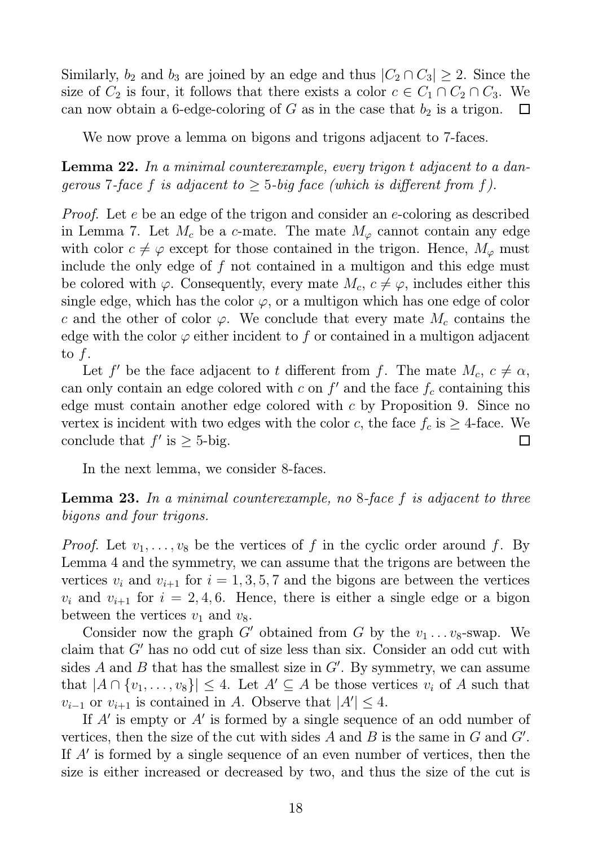Similarly,  $b_2$  and  $b_3$  are joined by an edge and thus  $|C_2 \cap C_3| \geq 2$ . Since the size of  $C_2$  is four, it follows that there exists a color  $c \in C_1 \cap C_2 \cap C_3$ . We can now obtain a 6-edge-coloring of  $G$  as in the case that  $b_2$  is a trigon.  $\Box$ 

We now prove a lemma on bigons and trigons adjacent to 7-faces.

Lemma 22. In a minimal counterexample, every trigon t adjacent to a dangerous 7-face f is adjacent to  $\geq$  5-big face (which is different from f).

Proof. Let e be an edge of the trigon and consider an e-coloring as described in Lemma 7. Let  $M_c$  be a c-mate. The mate  $M_\varphi$  cannot contain any edge with color  $c \neq \varphi$  except for those contained in the trigon. Hence,  $M_{\varphi}$  must include the only edge of f not contained in a multigon and this edge must be colored with  $\varphi$ . Consequently, every mate  $M_c$ ,  $c \neq \varphi$ , includes either this single edge, which has the color  $\varphi$ , or a multigon which has one edge of color c and the other of color  $\varphi$ . We conclude that every mate  $M_c$  contains the edge with the color  $\varphi$  either incident to f or contained in a multigon adjacent to f.

Let f' be the face adjacent to t different from f. The mate  $M_c$ ,  $c \neq \alpha$ , can only contain an edge colored with  $c$  on  $f'$  and the face  $f_c$  containing this edge must contain another edge colored with c by Proposition 9. Since no vertex is incident with two edges with the color c, the face  $f_c$  is  $\geq$  4-face. We conclude that  $f'$  is  $\geq$  5-big.  $\Box$ 

In the next lemma, we consider 8-faces.

**Lemma 23.** In a minimal counterexample, no  $8$ -face f is adjacent to three bigons and four trigons.

*Proof.* Let  $v_1, \ldots, v_8$  be the vertices of f in the cyclic order around f. By Lemma 4 and the symmetry, we can assume that the trigons are between the vertices  $v_i$  and  $v_{i+1}$  for  $i = 1, 3, 5, 7$  and the bigons are between the vertices  $v_i$  and  $v_{i+1}$  for  $i = 2, 4, 6$ . Hence, there is either a single edge or a bigon between the vertices  $v_1$  and  $v_8$ .

Consider now the graph G' obtained from G by the  $v_1 \ldots v_8$ -swap. We claim that G′ has no odd cut of size less than six. Consider an odd cut with sides  $A$  and  $B$  that has the smallest size in  $G'$ . By symmetry, we can assume that  $|A \cap \{v_1, \ldots, v_8\}| \leq 4$ . Let  $A' \subseteq A$  be those vertices  $v_i$  of A such that  $v_{i-1}$  or  $v_{i+1}$  is contained in A. Observe that  $|A'| \leq 4$ .

If A' is empty or A' is formed by a single sequence of an odd number of vertices, then the size of the cut with sides  $A$  and  $B$  is the same in  $G$  and  $G'$ . If A′ is formed by a single sequence of an even number of vertices, then the size is either increased or decreased by two, and thus the size of the cut is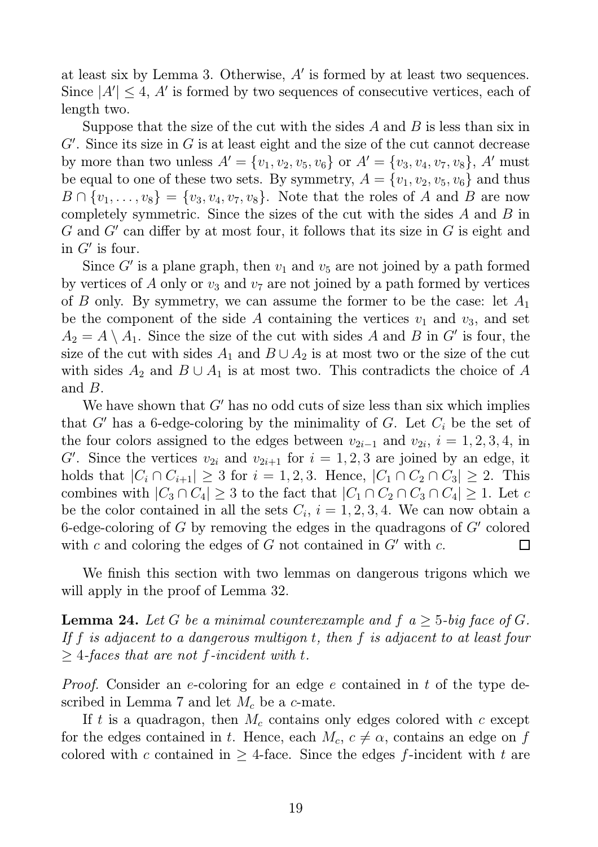at least six by Lemma 3. Otherwise,  $A'$  is formed by at least two sequences. Since  $|A'| \leq 4$ , A' is formed by two sequences of consecutive vertices, each of length two.

Suppose that the size of the cut with the sides  $A$  and  $B$  is less than six in  $G'$ . Since its size in  $G$  is at least eight and the size of the cut cannot decrease by more than two unless  $A' = \{v_1, v_2, v_5, v_6\}$  or  $A' = \{v_3, v_4, v_7, v_8\}, A'$  must be equal to one of these two sets. By symmetry,  $A = \{v_1, v_2, v_5, v_6\}$  and thus  $B \cap \{v_1, \ldots, v_8\} = \{v_3, v_4, v_7, v_8\}.$  Note that the roles of A and B are now completely symmetric. Since the sizes of the cut with the sides A and B in  $G$  and  $G'$  can differ by at most four, it follows that its size in  $G$  is eight and in  $G'$  is four.

Since  $G'$  is a plane graph, then  $v_1$  and  $v_5$  are not joined by a path formed by vertices of A only or  $v_3$  and  $v_7$  are not joined by a path formed by vertices of B only. By symmetry, we can assume the former to be the case: let  $A_1$ be the component of the side A containing the vertices  $v_1$  and  $v_3$ , and set  $A_2 = A \setminus A_1$ . Since the size of the cut with sides A and B in G' is four, the size of the cut with sides  $A_1$  and  $B \cup A_2$  is at most two or the size of the cut with sides  $A_2$  and  $B \cup A_1$  is at most two. This contradicts the choice of A and B.

We have shown that  $G'$  has no odd cuts of size less than six which implies that G' has a 6-edge-coloring by the minimality of G. Let  $C_i$  be the set of the four colors assigned to the edges between  $v_{2i-1}$  and  $v_{2i}$ ,  $i = 1, 2, 3, 4$ , in G'. Since the vertices  $v_{2i}$  and  $v_{2i+1}$  for  $i = 1, 2, 3$  are joined by an edge, it holds that  $|C_i \cap C_{i+1}| \geq 3$  for  $i = 1, 2, 3$ . Hence,  $|C_1 \cap C_2 \cap C_3| \geq 2$ . This combines with  $|C_3 \cap C_4| \geq 3$  to the fact that  $|C_1 \cap C_2 \cap C_3 \cap C_4| \geq 1$ . Let c be the color contained in all the sets  $C_i$ ,  $i = 1, 2, 3, 4$ . We can now obtain a 6-edge-coloring of  $G$  by removing the edges in the quadragons of  $G'$  colored with c and coloring the edges of G not contained in  $G'$  with c.  $\Box$ 

We finish this section with two lemmas on dangerous trigons which we will apply in the proof of Lemma 32.

**Lemma 24.** Let G be a minimal counterexample and  $f$   $a \geq 5$ -big face of G. If f is adjacent to a dangerous multigon t, then f is adjacent to at least four  $>$  4-faces that are not f-incident with t.

*Proof.* Consider an e-coloring for an edge e contained in t of the type described in Lemma 7 and let  $M_c$  be a c-mate.

If t is a quadragon, then  $M_c$  contains only edges colored with c except for the edges contained in t. Hence, each  $M_c$ ,  $c \neq \alpha$ , contains an edge on f colored with c contained in  $\geq$  4-face. Since the edges f-incident with t are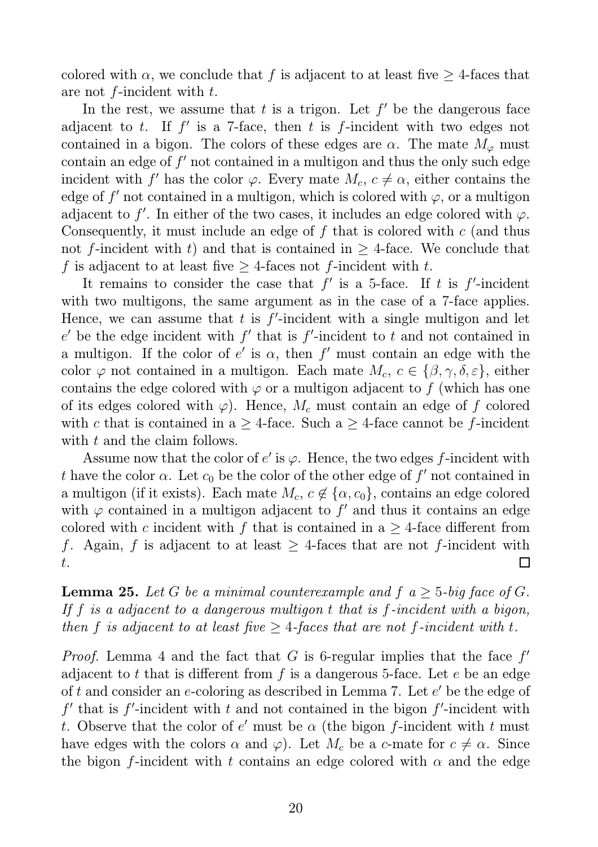colored with  $\alpha$ , we conclude that f is adjacent to at least five  $\geq$  4-faces that are not  $f$ -incident with  $t$ .

In the rest, we assume that  $t$  is a trigon. Let  $f'$  be the dangerous face adjacent to t. If  $f'$  is a 7-face, then t is f-incident with two edges not contained in a bigon. The colors of these edges are  $\alpha$ . The mate  $M_{\varphi}$  must  $\alpha$  contain an edge of  $f'$  not contained in a multigon and thus the only such edge incident with f' has the color  $\varphi$ . Every mate  $M_c$ ,  $c \neq \alpha$ , either contains the edge of  $f'$  not contained in a multigon, which is colored with  $\varphi$ , or a multigon adjacent to f'. In either of the two cases, it includes an edge colored with  $\varphi$ . Consequently, it must include an edge of  $f$  that is colored with  $c$  (and thus not f-incident with t) and that is contained in  $>$  4-face. We conclude that f is adjacent to at least five  $\geq$  4-faces not f-incident with t.

It remains to consider the case that  $f'$  is a 5-face. If t is  $f'$ -incident with two multigons, the same argument as in the case of a 7-face applies. Hence, we can assume that  $t$  is  $f'$ -incident with a single multigon and let  $e'$  be the edge incident with  $f'$  that is  $f'$ -incident to  $t$  and not contained in a multigon. If the color of  $e'$  is  $\alpha$ , then  $f'$  must contain an edge with the color  $\varphi$  not contained in a multigon. Each mate  $M_c$ ,  $c \in {\beta, \gamma, \delta, \varepsilon}$ , either contains the edge colored with  $\varphi$  or a multigon adjacent to f (which has one of its edges colored with  $\varphi$ ). Hence,  $M_c$  must contain an edge of f colored with c that is contained in a  $\geq$  4-face. Such a  $\geq$  4-face cannot be f-incident with t and the claim follows.

Assume now that the color of  $e'$  is  $\varphi$ . Hence, the two edges f-incident with t have the color  $\alpha$ . Let  $c_0$  be the color of the other edge of  $f'$  not contained in a multigon (if it exists). Each mate  $M_c$ ,  $c \notin {\{\alpha, c_0\}}$ , contains an edge colored with  $\varphi$  contained in a multigon adjacent to  $f'$  and thus it contains an edge colored with c incident with f that is contained in a  $\geq$  4-face different from f. Again, f is adjacent to at least  $\geq$  4-faces that are not f-incident with  $\Box$ t.

**Lemma 25.** Let G be a minimal counterexample and  $f$   $a \geq 5$ -big face of G. If  $f$  is a adjacent to a dangerous multigon  $t$  that is  $f$ -incident with a bigon, then f is adjacent to at least five  $\geq$  4-faces that are not f-incident with t.

*Proof.* Lemma 4 and the fact that  $G$  is 6-regular implies that the face  $f'$ adjacent to t that is different from  $f$  is a dangerous 5-face. Let  $e$  be an edge of  $t$  and consider an  $e$ -coloring as described in Lemma 7. Let  $e'$  be the edge of  $f'$  that is  $f'$ -incident with  $t$  and not contained in the bigon  $f'$ -incident with t. Observe that the color of  $e'$  must be  $\alpha$  (the bigon f-incident with t must have edges with the colors  $\alpha$  and  $\varphi$ ). Let  $M_c$  be a c-mate for  $c \neq \alpha$ . Since the bigon f-incident with t contains an edge colored with  $\alpha$  and the edge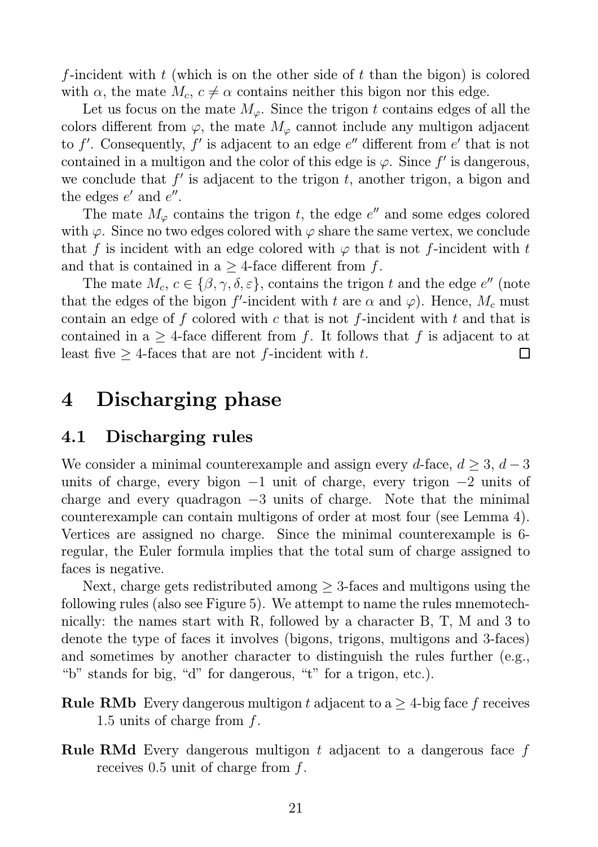f-incident with  $t$  (which is on the other side of  $t$  than the bigon) is colored with  $\alpha$ , the mate  $M_c$ ,  $c \neq \alpha$  contains neither this bigon nor this edge.

Let us focus on the mate  $M_{\varphi}$ . Since the trigon t contains edges of all the colors different from  $\varphi$ , the mate  $M_{\varphi}$  cannot include any multigon adjacent to f'. Consequently, f' is adjacent to an edge  $e''$  different from  $e'$  that is not contained in a multigon and the color of this edge is  $\varphi$ . Since f' is dangerous, we conclude that  $f'$  is adjacent to the trigon  $t$ , another trigon, a bigon and the edges  $e'$  and  $e''$ .

The mate  $M_{\varphi}$  contains the trigon t, the edge  $e''$  and some edges colored with  $\varphi$ . Since no two edges colored with  $\varphi$  share the same vertex, we conclude that f is incident with an edge colored with  $\varphi$  that is not f-incident with t and that is contained in a  $\geq$  4-face different from f.

The mate  $M_c, c \in \{\beta, \gamma, \delta, \varepsilon\}$ , contains the trigon t and the edge  $e''$  (note that the edges of the bigon f'-incident with t are  $\alpha$  and  $\varphi$ ). Hence,  $M_c$  must contain an edge of f colored with c that is not f-incident with t and that is contained in a  $\geq$  4-face different from f. It follows that f is adjacent to at least five  $\geq$  4-faces that are not f-incident with t. П

## 4 Discharging phase

### 4.1 Discharging rules

We consider a minimal counterexample and assign every d-face,  $d \geq 3$ ,  $d-3$ units of charge, every bigon  $-1$  unit of charge, every trigon  $-2$  units of charge and every quadragon  $-3$  units of charge. Note that the minimal counterexample can contain multigons of order at most four (see Lemma 4). Vertices are assigned no charge. Since the minimal counterexample is 6 regular, the Euler formula implies that the total sum of charge assigned to faces is negative.

Next, charge gets redistributed among  $\geq$  3-faces and multigons using the following rules (also see Figure 5). We attempt to name the rules mnemotechnically: the names start with R, followed by a character B, T, M and 3 to denote the type of faces it involves (bigons, trigons, multigons and 3-faces) and sometimes by another character to distinguish the rules further (e.g., "b" stands for big, "d" for dangerous, "t" for a trigon, etc.).

**Rule RMb** Every dangerous multigon t adjacent to  $a \geq 4$ -big face f receives 1.5 units of charge from f.

Rule RMd Every dangerous multigon t adjacent to a dangerous face f receives  $0.5$  unit of charge from f.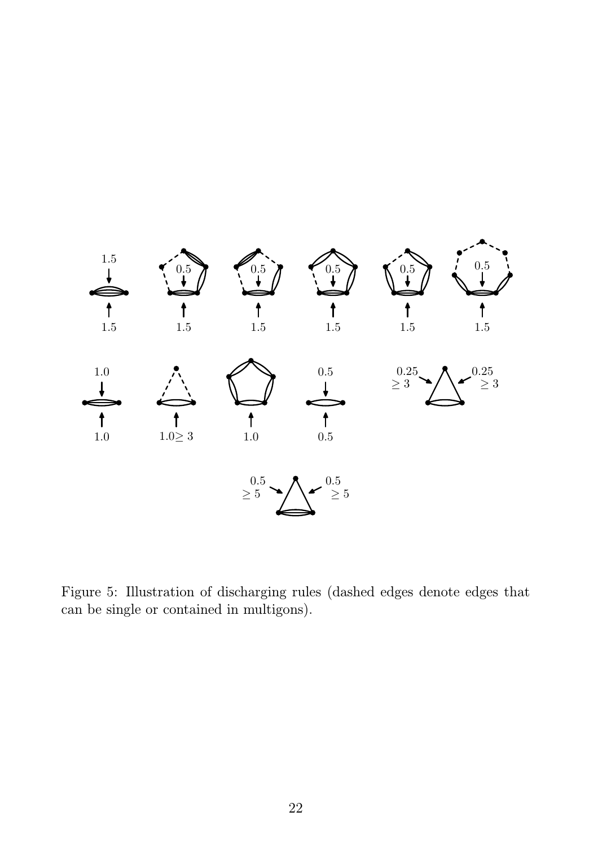

Figure 5: Illustration of discharging rules (dashed edges denote edges that can be single or contained in multigons).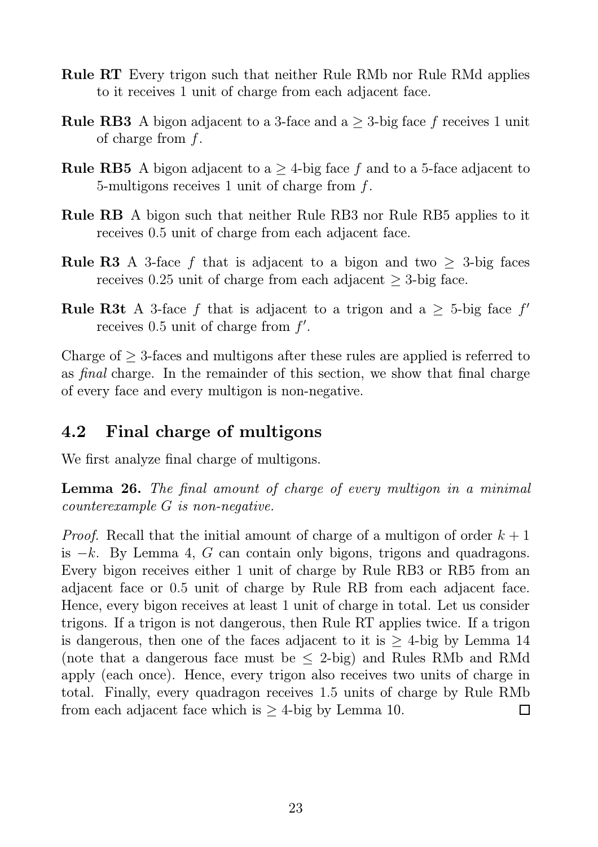- Rule RT Every trigon such that neither Rule RMb nor Rule RMd applies to it receives 1 unit of charge from each adjacent face.
- **Rule RB3** A bigon adjacent to a 3-face and  $a \geq 3$ -big face f receives 1 unit of charge from f.
- **Rule RB5** A bigon adjacent to a  $\geq$  4-big face f and to a 5-face adjacent to 5-multigons receives 1 unit of charge from f.
- Rule RB A bigon such that neither Rule RB3 nor Rule RB5 applies to it receives 0.5 unit of charge from each adjacent face.
- **Rule R3** A 3-face f that is adjacent to a bigon and two  $\geq$  3-big faces receives 0.25 unit of charge from each adjacent  $\geq$  3-big face.
- **Rule R3t** A 3-face f that is adjacent to a trigon and a  $\geq$  5-big face f' receives  $0.5$  unit of charge from  $f'$ .

Charge of  $\geq$  3-faces and multigons after these rules are applied is referred to as final charge. In the remainder of this section, we show that final charge of every face and every multigon is non-negative.

### 4.2 Final charge of multigons

We first analyze final charge of multigons.

Lemma 26. The final amount of charge of every multigon in a minimal counterexample G is non-negative.

*Proof.* Recall that the initial amount of charge of a multigon of order  $k + 1$ is  $-k$ . By Lemma 4, G can contain only bigons, trigons and quadragons. Every bigon receives either 1 unit of charge by Rule RB3 or RB5 from an adjacent face or 0.5 unit of charge by Rule RB from each adjacent face. Hence, every bigon receives at least 1 unit of charge in total. Let us consider trigons. If a trigon is not dangerous, then Rule RT applies twice. If a trigon is dangerous, then one of the faces adjacent to it is  $\geq$  4-big by Lemma 14 (note that a dangerous face must be  $\leq$  2-big) and Rules RMb and RMd apply (each once). Hence, every trigon also receives two units of charge in total. Finally, every quadragon receives 1.5 units of charge by Rule RMb from each adjacent face which is  $\geq$  4-big by Lemma 10.  $\Box$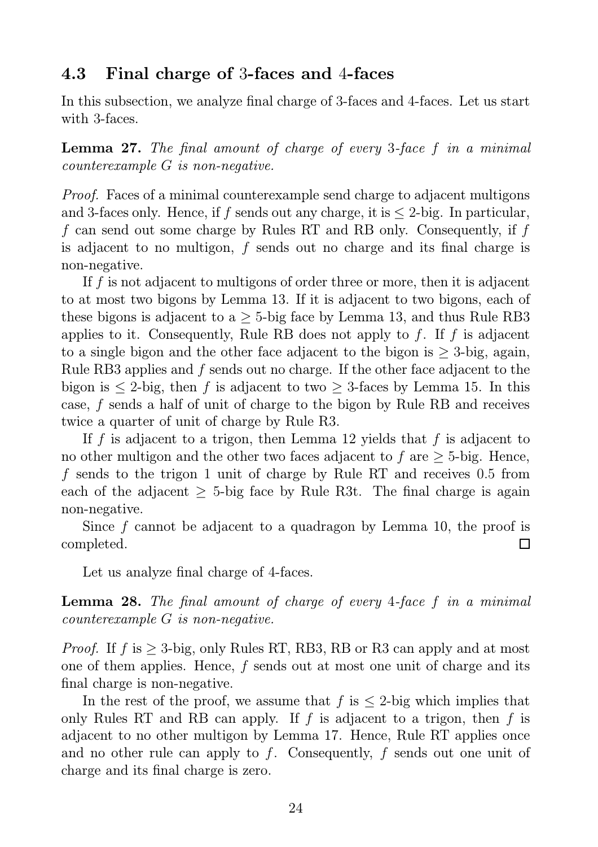#### 4.3 Final charge of 3-faces and 4-faces

In this subsection, we analyze final charge of 3-faces and 4-faces. Let us start with 3-faces.

Lemma 27. The final amount of charge of every 3-face f in a minimal counterexample G is non-negative.

Proof. Faces of a minimal counterexample send charge to adjacent multigons and 3-faces only. Hence, if f sends out any charge, it is  $\leq$  2-big. In particular, f can send out some charge by Rules RT and RB only. Consequently, if f is adjacent to no multigon, f sends out no charge and its final charge is non-negative.

If f is not adjacent to multigons of order three or more, then it is adjacent to at most two bigons by Lemma 13. If it is adjacent to two bigons, each of these bigons is adjacent to a  $\geq$  5-big face by Lemma 13, and thus Rule RB3 applies to it. Consequently, Rule RB does not apply to f. If f is adjacent to a single bigon and the other face adjacent to the bigon is  $>$  3-big, again, Rule RB3 applies and f sends out no charge. If the other face adjacent to the bigon is  $\leq 2$ -big, then f is adjacent to two  $\geq 3$ -faces by Lemma 15. In this case, f sends a half of unit of charge to the bigon by Rule RB and receives twice a quarter of unit of charge by Rule R3.

If f is adjacent to a trigon, then Lemma 12 yields that f is adjacent to no other multigon and the other two faces adjacent to f are  $>$  5-big. Hence, f sends to the trigon 1 unit of charge by Rule RT and receives 0.5 from each of the adjacent  $\geq$  5-big face by Rule R3t. The final charge is again non-negative.

Since f cannot be adjacent to a quadragon by Lemma 10, the proof is completed.  $\Box$ 

Let us analyze final charge of 4-faces.

Lemma 28. The final amount of charge of every 4-face f in a minimal counterexample G is non-negative.

*Proof.* If f is  $>$  3-big, only Rules RT, RB3, RB or R3 can apply and at most one of them applies. Hence, f sends out at most one unit of charge and its final charge is non-negative.

In the rest of the proof, we assume that  $f$  is  $\leq$  2-big which implies that only Rules RT and RB can apply. If f is adjacent to a trigon, then f is adjacent to no other multigon by Lemma 17. Hence, Rule RT applies once and no other rule can apply to f. Consequently, f sends out one unit of charge and its final charge is zero.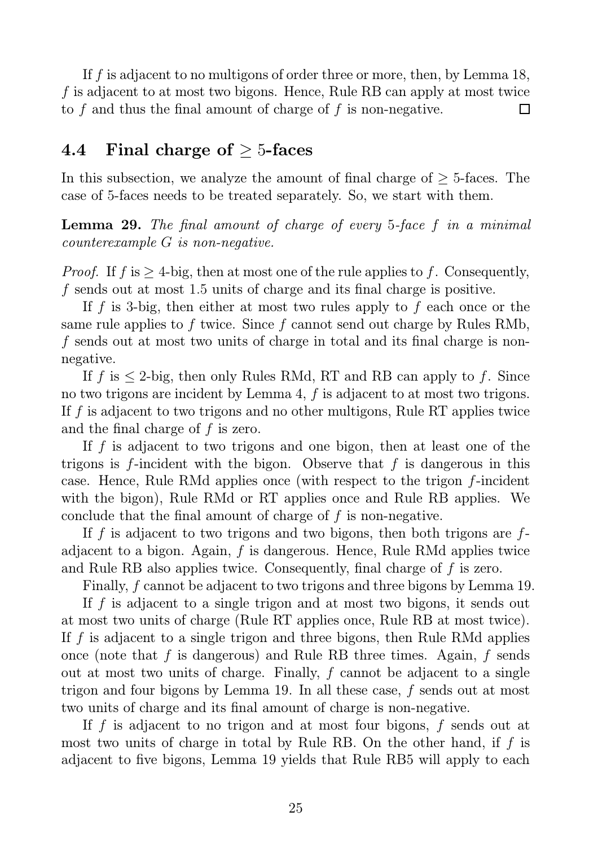If f is adjacent to no multigons of order three or more, then, by Lemma 18, f is adjacent to at most two bigons. Hence, Rule RB can apply at most twice to f and thus the final amount of charge of f is non-negative.  $\Box$ 

### 4.4 Final charge of  $\geq 5$ -faces

In this subsection, we analyze the amount of final charge of  $\geq$  5-faces. The case of 5-faces needs to be treated separately. So, we start with them.

Lemma 29. The final amount of charge of every 5-face f in a minimal counterexample G is non-negative.

*Proof.* If  $f$  is  $\geq 4$ -big, then at most one of the rule applies to f. Consequently, f sends out at most 1.5 units of charge and its final charge is positive.

If f is 3-big, then either at most two rules apply to f each once or the same rule applies to f twice. Since f cannot send out charge by Rules RMb, f sends out at most two units of charge in total and its final charge is nonnegative.

If f is  $\leq$  2-big, then only Rules RMd, RT and RB can apply to f. Since no two trigons are incident by Lemma 4, f is adjacent to at most two trigons. If f is adjacent to two trigons and no other multigons, Rule RT applies twice and the final charge of  $f$  is zero.

If  $f$  is adjacent to two trigons and one bigon, then at least one of the trigons is  $f$ -incident with the bigon. Observe that  $f$  is dangerous in this case. Hence, Rule RMd applies once (with respect to the trigon f-incident with the bigon), Rule RMd or RT applies once and Rule RB applies. We conclude that the final amount of charge of  $f$  is non-negative.

If f is adjacent to two trigons and two bigons, then both trigons are  $f$ adjacent to a bigon. Again, f is dangerous. Hence, Rule RMd applies twice and Rule RB also applies twice. Consequently, final charge of f is zero.

Finally, f cannot be adjacent to two trigons and three bigons by Lemma 19.

If f is adjacent to a single trigon and at most two bigons, it sends out at most two units of charge (Rule RT applies once, Rule RB at most twice). If f is adjacent to a single trigon and three bigons, then Rule RMd applies once (note that f is dangerous) and Rule RB three times. Again, f sends out at most two units of charge. Finally, f cannot be adjacent to a single trigon and four bigons by Lemma 19. In all these case, f sends out at most two units of charge and its final amount of charge is non-negative.

If f is adjacent to no trigon and at most four bigons, f sends out at most two units of charge in total by Rule RB. On the other hand, if  $f$  is adjacent to five bigons, Lemma 19 yields that Rule RB5 will apply to each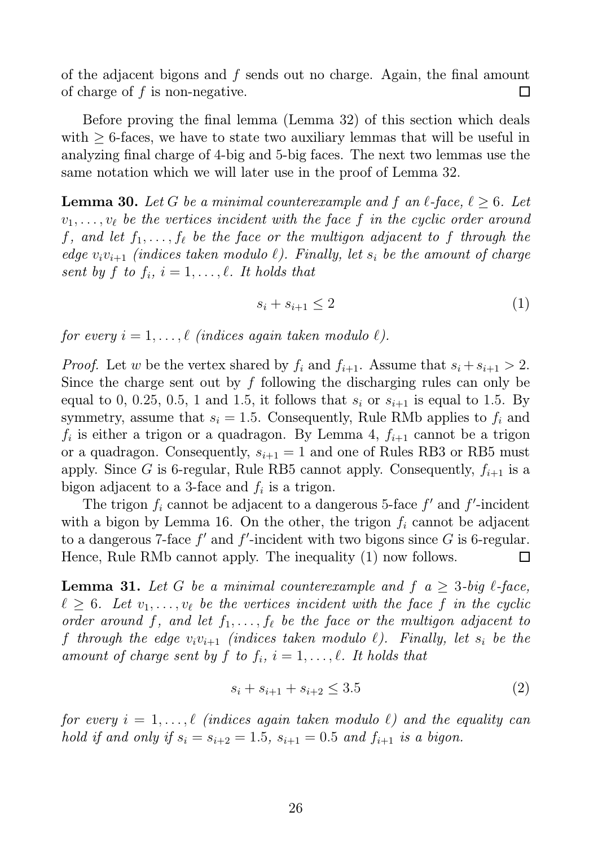of the adjacent bigons and f sends out no charge. Again, the final amount of charge of  $f$  is non-negative.  $\Box$ 

Before proving the final lemma (Lemma 32) of this section which deals with  $\geq$  6-faces, we have to state two auxiliary lemmas that will be useful in analyzing final charge of 4-big and 5-big faces. The next two lemmas use the same notation which we will later use in the proof of Lemma 32.

**Lemma 30.** Let G be a minimal counterexample and f an  $\ell$ -face,  $\ell \geq 6$ . Let  $v_1, \ldots, v_\ell$  be the vertices incident with the face f in the cyclic order around f, and let  $f_1, \ldots, f_\ell$  be the face or the multigon adjacent to f through the edge  $v_i v_{i+1}$  (indices taken modulo  $\ell$ ). Finally, let  $s_i$  be the amount of charge sent by f to  $f_i$ ,  $i = 1, \ldots, \ell$ . It holds that

$$
s_i + s_{i+1} \le 2 \tag{1}
$$

for every  $i = 1, \ldots, \ell$  (indices again taken modulo  $\ell$ ).

*Proof.* Let w be the vertex shared by  $f_i$  and  $f_{i+1}$ . Assume that  $s_i + s_{i+1} > 2$ . Since the charge sent out by  $f$  following the discharging rules can only be equal to 0, 0.25, 0.5, 1 and 1.5, it follows that  $s_i$  or  $s_{i+1}$  is equal to 1.5. By symmetry, assume that  $s_i = 1.5$ . Consequently, Rule RMb applies to  $f_i$  and  $f_i$  is either a trigon or a quadragon. By Lemma 4,  $f_{i+1}$  cannot be a trigon or a quadragon. Consequently,  $s_{i+1} = 1$  and one of Rules RB3 or RB5 must apply. Since G is 6-regular, Rule RB5 cannot apply. Consequently,  $f_{i+1}$  is a bigon adjacent to a 3-face and  $f_i$  is a trigon.

The trigon  $f_i$  cannot be adjacent to a dangerous 5-face  $f'$  and  $f'$ -incident with a bigon by Lemma 16. On the other, the trigon  $f_i$  cannot be adjacent to a dangerous 7-face  $f'$  and  $f'$ -incident with two bigons since  $G$  is 6-regular. Hence, Rule RMb cannot apply. The inequality (1) now follows. П

**Lemma 31.** Let G be a minimal counterexample and  $f$   $a \geq 3$ -big  $\ell$ -face,  $\ell \geq 6$ . Let  $v_1, \ldots, v_\ell$  be the vertices incident with the face f in the cyclic order around f, and let  $f_1, \ldots, f_\ell$  be the face or the multigon adjacent to f through the edge  $v_i v_{i+1}$  (indices taken modulo  $\ell$ ). Finally, let  $s_i$  be the amount of charge sent by f to  $f_i$ ,  $i = 1, \ldots, \ell$ . It holds that

$$
s_i + s_{i+1} + s_{i+2} \le 3.5 \tag{2}
$$

for every  $i = 1, \ldots, \ell$  (indices again taken modulo  $\ell$ ) and the equality can hold if and only if  $s_i = s_{i+2} = 1.5$ ,  $s_{i+1} = 0.5$  and  $f_{i+1}$  is a bigon.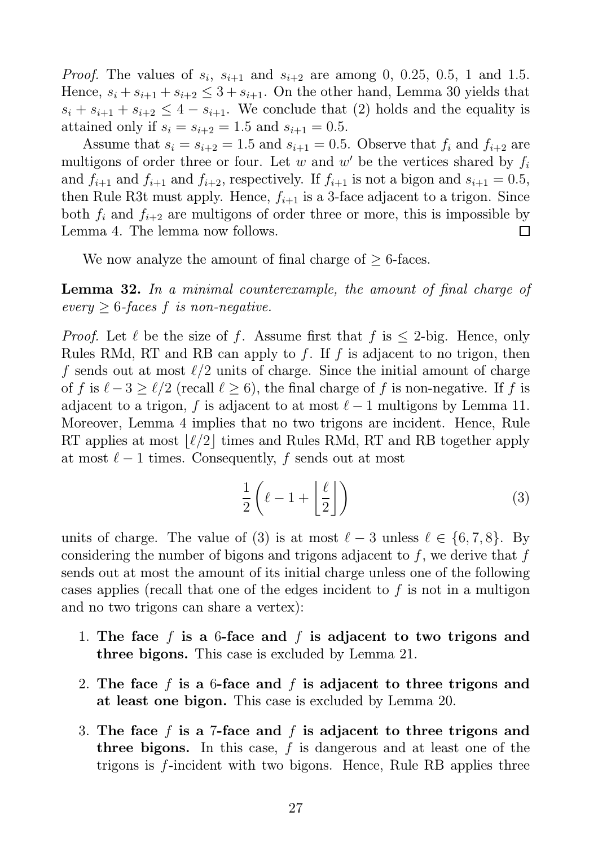*Proof.* The values of  $s_i$ ,  $s_{i+1}$  and  $s_{i+2}$  are among 0, 0.25, 0.5, 1 and 1.5. Hence,  $s_i + s_{i+1} + s_{i+2} \leq 3 + s_{i+1}$ . On the other hand, Lemma 30 yields that  $s_i + s_{i+1} + s_{i+2} \leq 4 - s_{i+1}$ . We conclude that (2) holds and the equality is attained only if  $s_i = s_{i+2} = 1.5$  and  $s_{i+1} = 0.5$ .

Assume that  $s_i = s_{i+2} = 1.5$  and  $s_{i+1} = 0.5$ . Observe that  $f_i$  and  $f_{i+2}$  are multigons of order three or four. Let  $w$  and  $w'$  be the vertices shared by  $f_i$ and  $f_{i+1}$  and  $f_{i+1}$  and  $f_{i+2}$ , respectively. If  $f_{i+1}$  is not a bigon and  $s_{i+1} = 0.5$ , then Rule R3t must apply. Hence,  $f_{i+1}$  is a 3-face adjacent to a trigon. Since both  $f_i$  and  $f_{i+2}$  are multigons of order three or more, this is impossible by Lemma 4. The lemma now follows. П

We now analyze the amount of final charge of  $> 6$ -faces.

**Lemma 32.** In a minimal counterexample, the amount of final charge of every  $\geq 6$ -faces f is non-negative.

*Proof.* Let  $\ell$  be the size of f. Assume first that f is  $\leq 2$ -big. Hence, only Rules RMd, RT and RB can apply to f. If f is adjacent to no trigon, then f sends out at most  $\ell/2$  units of charge. Since the initial amount of charge of f is  $\ell - 3 \ge \ell/2$  (recall  $\ell \ge 6$ ), the final charge of f is non-negative. If f is adjacent to a trigon, f is adjacent to at most  $\ell-1$  multigons by Lemma 11. Moreover, Lemma 4 implies that no two trigons are incident. Hence, Rule RT applies at most  $\lvert \ell/2 \rvert$  times and Rules RMd, RT and RB together apply at most  $\ell - 1$  times. Consequently, f sends out at most

$$
\frac{1}{2}\left(\ell-1+\left\lfloor\frac{\ell}{2}\right\rfloor\right) \tag{3}
$$

units of charge. The value of (3) is at most  $\ell - 3$  unless  $\ell \in \{6, 7, 8\}$ . By considering the number of bigons and trigons adjacent to  $f$ , we derive that  $f$ sends out at most the amount of its initial charge unless one of the following cases applies (recall that one of the edges incident to f is not in a multigon and no two trigons can share a vertex):

- 1. The face f is a 6-face and f is adjacent to two trigons and three bigons. This case is excluded by Lemma 21.
- 2. The face f is a 6-face and f is adjacent to three trigons and at least one bigon. This case is excluded by Lemma 20.
- 3. The face f is a 7-face and f is adjacent to three trigons and three bigons. In this case,  $f$  is dangerous and at least one of the trigons is f-incident with two bigons. Hence, Rule RB applies three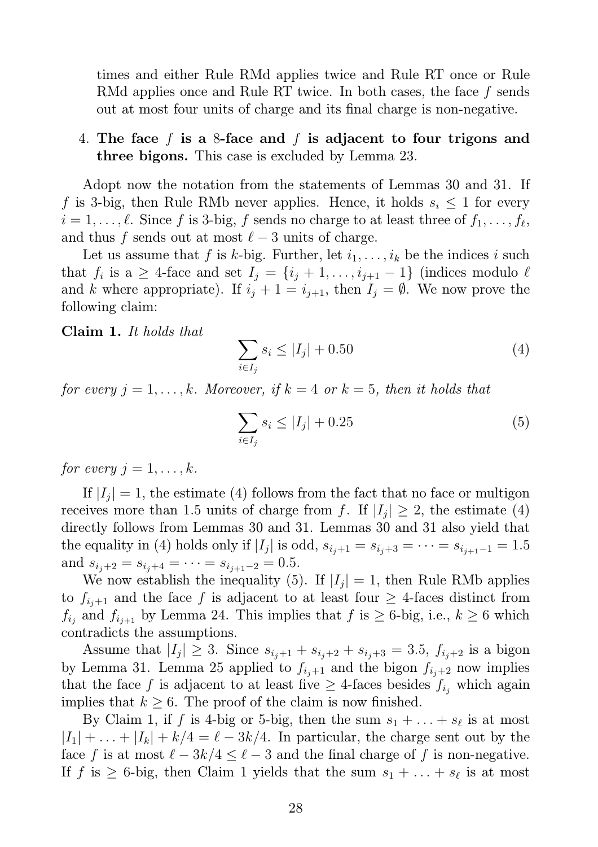times and either Rule RMd applies twice and Rule RT once or Rule RMd applies once and Rule RT twice. In both cases, the face f sends out at most four units of charge and its final charge is non-negative.

#### 4. The face f is a 8-face and f is adjacent to four trigons and three bigons. This case is excluded by Lemma 23.

Adopt now the notation from the statements of Lemmas 30 and 31. If f is 3-big, then Rule RMb never applies. Hence, it holds  $s_i \leq 1$  for every  $i = 1, \ldots, \ell$ . Since f is 3-big, f sends no charge to at least three of  $f_1, \ldots, f_\ell$ , and thus f sends out at most  $\ell - 3$  units of charge.

Let us assume that f is k-big. Further, let  $i_1, \ldots, i_k$  be the indices i such that  $f_i$  is a  $\geq$  4-face and set  $I_j = \{i_j + 1, \ldots, i_{j+1} - 1\}$  (indices modulo  $\ell$ and k where appropriate). If  $i_j + 1 = i_{j+1}$ , then  $I_j = \emptyset$ . We now prove the following claim:

Claim 1. It holds that

$$
\sum_{i \in I_j} s_i \le |I_j| + 0.50 \tag{4}
$$

for every  $j = 1, \ldots, k$ . Moreover, if  $k = 4$  or  $k = 5$ , then it holds that

$$
\sum_{i \in I_j} s_i \le |I_j| + 0.25 \tag{5}
$$

for every  $j = 1, \ldots, k$ .

If  $|I_j|=1$ , the estimate (4) follows from the fact that no face or multigon receives more than 1.5 units of charge from f. If  $|I_j| \geq 2$ , the estimate (4) directly follows from Lemmas 30 and 31. Lemmas 30 and 31 also yield that the equality in (4) holds only if  $|I_j|$  is odd,  $s_{i_j+1} = s_{i_j+3} = \cdots = s_{i_{j+1}-1} = 1.5$ and  $s_{i_j+2} = s_{i_j+4} = \cdots = s_{i_{j+1}-2} = 0.5$ .

We now establish the inequality (5). If  $|I_j|=1$ , then Rule RMb applies to  $f_{i+1}$  and the face f is adjacent to at least four  $\geq 4$ -faces distinct from  $f_{i_j}$  and  $f_{i_{j+1}}$  by Lemma 24. This implies that  $f$  is  $\geq 6$ -big, i.e.,  $k \geq 6$  which contradicts the assumptions.

Assume that  $|I_j| \geq 3$ . Since  $s_{i_j+1} + s_{i_j+2} + s_{i_j+3} = 3.5$ ,  $f_{i_j+2}$  is a bigon by Lemma 31. Lemma 25 applied to  $f_{i_j+1}$  and the bigon  $f_{i_j+2}$  now implies that the face f is adjacent to at least five  $\geq$  4-faces besides  $f_{i_j}$  which again implies that  $k \geq 6$ . The proof of the claim is now finished.

By Claim 1, if f is 4-big or 5-big, then the sum  $s_1 + \ldots + s_\ell$  is at most  $|I_1| + \ldots + |I_k| + k/4 = \ell - 3k/4$ . In particular, the charge sent out by the face f is at most  $\ell - 3k/4 \leq \ell - 3$  and the final charge of f is non-negative. If f is  $\geq 6$ -big, then Claim 1 yields that the sum  $s_1 + \ldots + s_\ell$  is at most